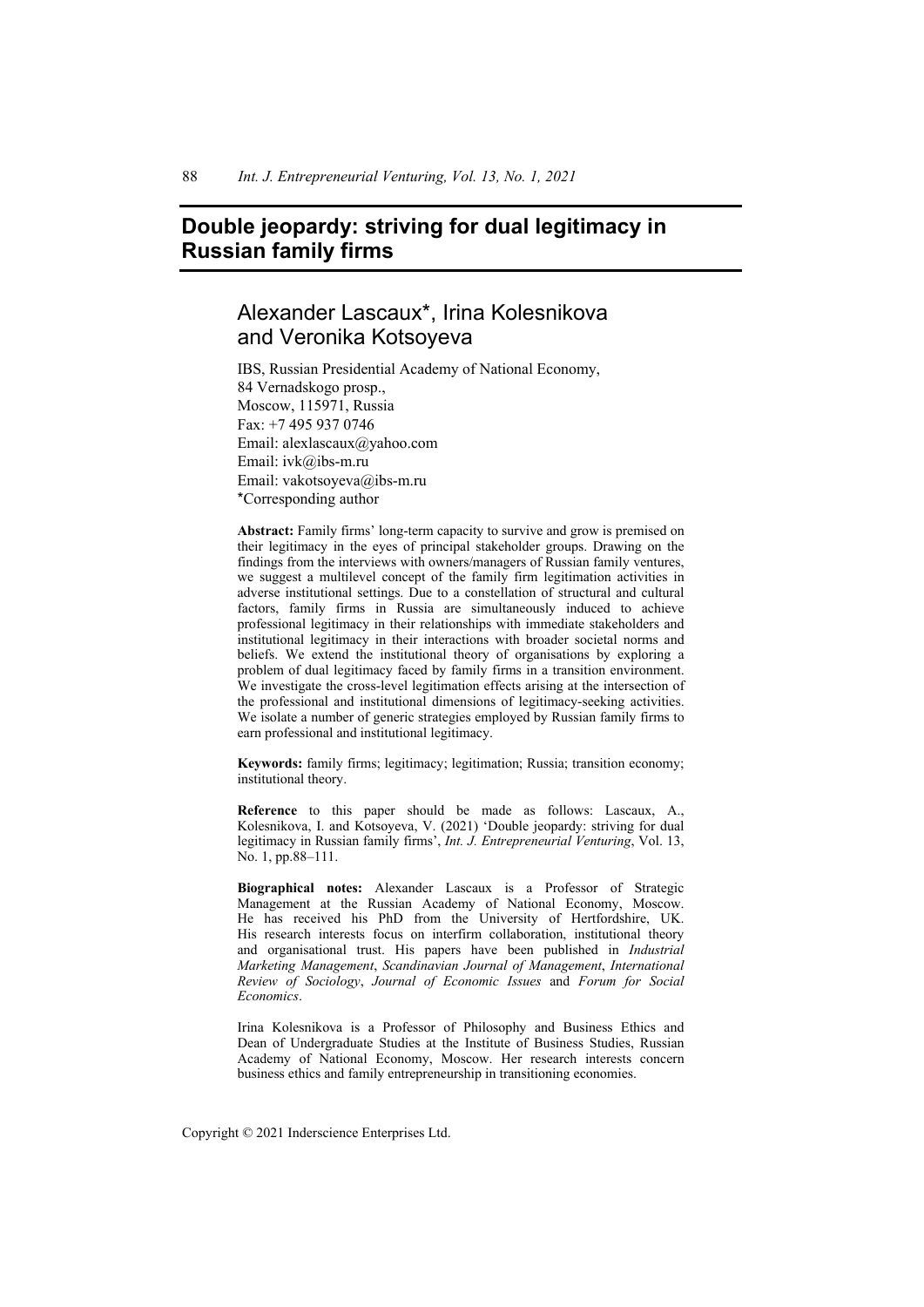# **Double jeopardy: striving for dual legitimacy in Russian family firms**

# Alexander Lascaux\*, Irina Kolesnikova and Veronika Kotsoyeva

IBS, Russian Presidential Academy of National Economy, 84 Vernadskogo prosp., Moscow, 115971, Russia Fax: +7 495 937 0746 Email: alexlascaux@yahoo.com Email: ivk@ibs-m.ru Email: vakotsoyeva@ibs-m.ru \*Corresponding author

**Abstract:** Family firms' long-term capacity to survive and grow is premised on their legitimacy in the eyes of principal stakeholder groups. Drawing on the findings from the interviews with owners/managers of Russian family ventures, we suggest a multilevel concept of the family firm legitimation activities in adverse institutional settings. Due to a constellation of structural and cultural factors, family firms in Russia are simultaneously induced to achieve professional legitimacy in their relationships with immediate stakeholders and institutional legitimacy in their interactions with broader societal norms and beliefs. We extend the institutional theory of organisations by exploring a problem of dual legitimacy faced by family firms in a transition environment. We investigate the cross-level legitimation effects arising at the intersection of the professional and institutional dimensions of legitimacy-seeking activities. We isolate a number of generic strategies employed by Russian family firms to earn professional and institutional legitimacy.

**Keywords:** family firms; legitimacy; legitimation; Russia; transition economy; institutional theory.

**Reference** to this paper should be made as follows: Lascaux, A., Kolesnikova, I. and Kotsoyeva, V. (2021) 'Double jeopardy: striving for dual legitimacy in Russian family firms', *Int. J. Entrepreneurial Venturing*, Vol. 13, No. 1, pp.88–111.

**Biographical notes:** Alexander Lascaux is a Professor of Strategic Management at the Russian Academy of National Economy, Moscow. He has received his PhD from the University of Hertfordshire, UK. His research interests focus on interfirm collaboration, institutional theory and organisational trust. His papers have been published in *Industrial Marketing Management*, *Scandinavian Journal of Management*, *International Review of Sociology*, *Journal of Economic Issues* and *Forum for Social Economics*.

Irina Kolesnikova is a Professor of Philosophy and Business Ethics and Dean of Undergraduate Studies at the Institute of Business Studies, Russian Academy of National Economy, Moscow. Her research interests concern business ethics and family entrepreneurship in transitioning economies.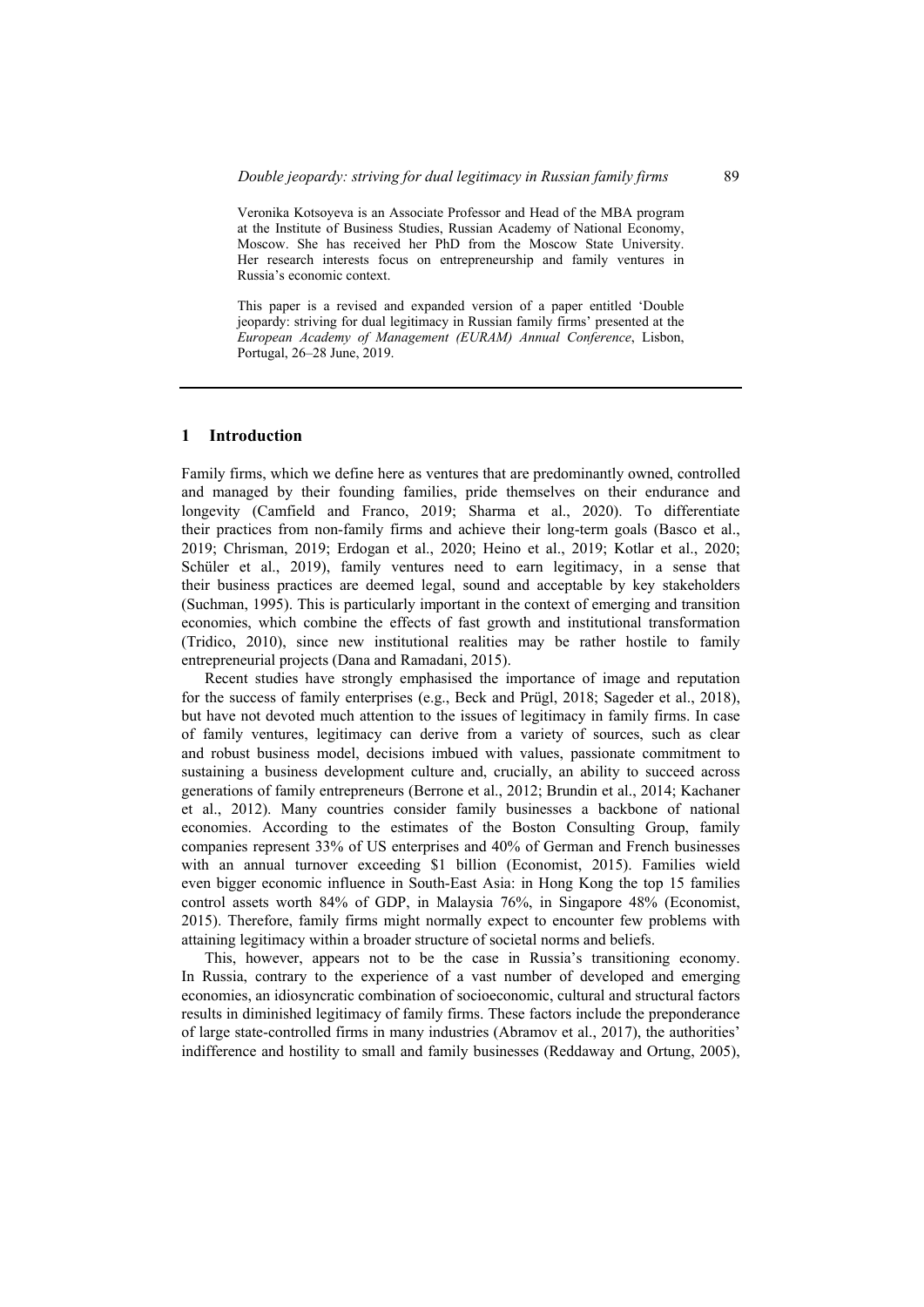Veronika Kotsoyeva is an Associate Professor and Head of the MBA program at the Institute of Business Studies, Russian Academy of National Economy, Moscow. She has received her PhD from the Moscow State University. Her research interests focus on entrepreneurship and family ventures in Russia's economic context.

This paper is a revised and expanded version of a paper entitled 'Double jeopardy: striving for dual legitimacy in Russian family firms' presented at the *European Academy of Management (EURAM) Annual Conference*, Lisbon, Portugal, 26–28 June, 2019.

#### **1 Introduction**

Family firms, which we define here as ventures that are predominantly owned, controlled and managed by their founding families, pride themselves on their endurance and longevity (Camfield and Franco, 2019; Sharma et al., 2020). To differentiate their practices from non-family firms and achieve their long-term goals (Basco et al., 2019; Chrisman, 2019; Erdogan et al., 2020; Heino et al., 2019; Kotlar et al., 2020; Schüler et al., 2019), family ventures need to earn legitimacy, in a sense that their business practices are deemed legal, sound and acceptable by key stakeholders (Suchman, 1995). This is particularly important in the context of emerging and transition economies, which combine the effects of fast growth and institutional transformation (Tridico, 2010), since new institutional realities may be rather hostile to family entrepreneurial projects (Dana and Ramadani, 2015).

Recent studies have strongly emphasised the importance of image and reputation for the success of family enterprises (e.g., Beck and Prügl, 2018; Sageder et al., 2018), but have not devoted much attention to the issues of legitimacy in family firms. In case of family ventures, legitimacy can derive from a variety of sources, such as clear and robust business model, decisions imbued with values, passionate commitment to sustaining a business development culture and, crucially, an ability to succeed across generations of family entrepreneurs (Berrone et al., 2012; Brundin et al., 2014; Kachaner et al., 2012). Many countries consider family businesses a backbone of national economies. According to the estimates of the Boston Consulting Group, family companies represent 33% of US enterprises and 40% of German and French businesses with an annual turnover exceeding \$1 billion (Economist, 2015). Families wield even bigger economic influence in South-East Asia: in Hong Kong the top 15 families control assets worth 84% of GDP, in Malaysia 76%, in Singapore 48% (Economist, 2015). Therefore, family firms might normally expect to encounter few problems with attaining legitimacy within a broader structure of societal norms and beliefs.

This, however, appears not to be the case in Russia's transitioning economy. In Russia, contrary to the experience of a vast number of developed and emerging economies, an idiosyncratic combination of socioeconomic, cultural and structural factors results in diminished legitimacy of family firms. These factors include the preponderance of large state-controlled firms in many industries (Abramov et al., 2017), the authorities' indifference and hostility to small and family businesses (Reddaway and Ortung, 2005),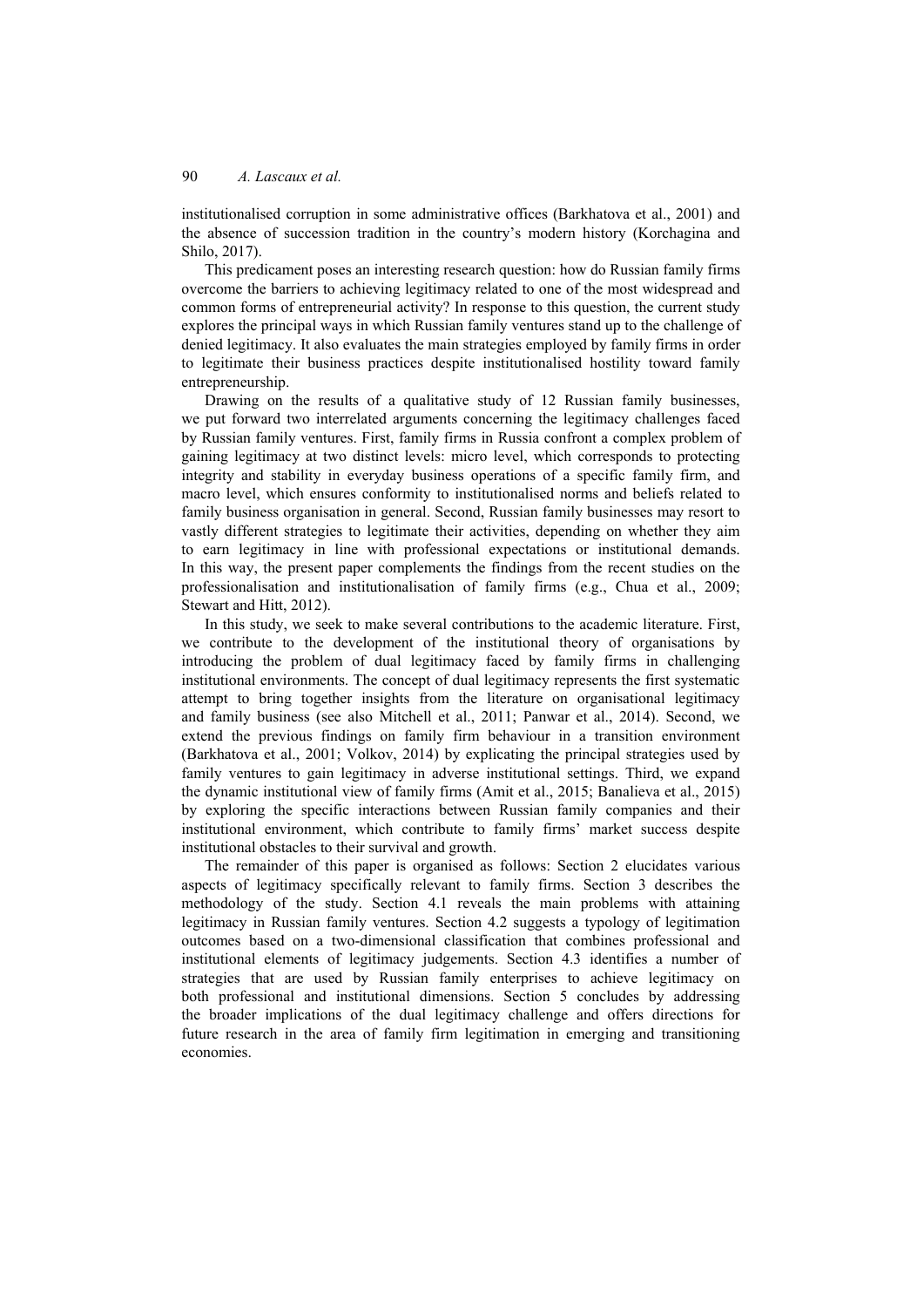institutionalised corruption in some administrative offices (Barkhatova et al., 2001) and the absence of succession tradition in the country's modern history (Korchagina and Shilo, 2017).

This predicament poses an interesting research question: how do Russian family firms overcome the barriers to achieving legitimacy related to one of the most widespread and common forms of entrepreneurial activity? In response to this question, the current study explores the principal ways in which Russian family ventures stand up to the challenge of denied legitimacy. It also evaluates the main strategies employed by family firms in order to legitimate their business practices despite institutionalised hostility toward family entrepreneurship.

Drawing on the results of a qualitative study of 12 Russian family businesses, we put forward two interrelated arguments concerning the legitimacy challenges faced by Russian family ventures. First, family firms in Russia confront a complex problem of gaining legitimacy at two distinct levels: micro level, which corresponds to protecting integrity and stability in everyday business operations of a specific family firm, and macro level, which ensures conformity to institutionalised norms and beliefs related to family business organisation in general. Second, Russian family businesses may resort to vastly different strategies to legitimate their activities, depending on whether they aim to earn legitimacy in line with professional expectations or institutional demands. In this way, the present paper complements the findings from the recent studies on the professionalisation and institutionalisation of family firms (e.g., Chua et al., 2009; Stewart and Hitt, 2012).

In this study, we seek to make several contributions to the academic literature. First, we contribute to the development of the institutional theory of organisations by introducing the problem of dual legitimacy faced by family firms in challenging institutional environments. The concept of dual legitimacy represents the first systematic attempt to bring together insights from the literature on organisational legitimacy and family business (see also Mitchell et al., 2011; Panwar et al., 2014). Second, we extend the previous findings on family firm behaviour in a transition environment (Barkhatova et al., 2001; Volkov, 2014) by explicating the principal strategies used by family ventures to gain legitimacy in adverse institutional settings. Third, we expand the dynamic institutional view of family firms (Amit et al., 2015; Banalieva et al., 2015) by exploring the specific interactions between Russian family companies and their institutional environment, which contribute to family firms' market success despite institutional obstacles to their survival and growth.

The remainder of this paper is organised as follows: Section 2 elucidates various aspects of legitimacy specifically relevant to family firms. Section 3 describes the methodology of the study. Section 4.1 reveals the main problems with attaining legitimacy in Russian family ventures. Section 4.2 suggests a typology of legitimation outcomes based on a two-dimensional classification that combines professional and institutional elements of legitimacy judgements. Section 4.3 identifies a number of strategies that are used by Russian family enterprises to achieve legitimacy on both professional and institutional dimensions. Section 5 concludes by addressing the broader implications of the dual legitimacy challenge and offers directions for future research in the area of family firm legitimation in emerging and transitioning economies.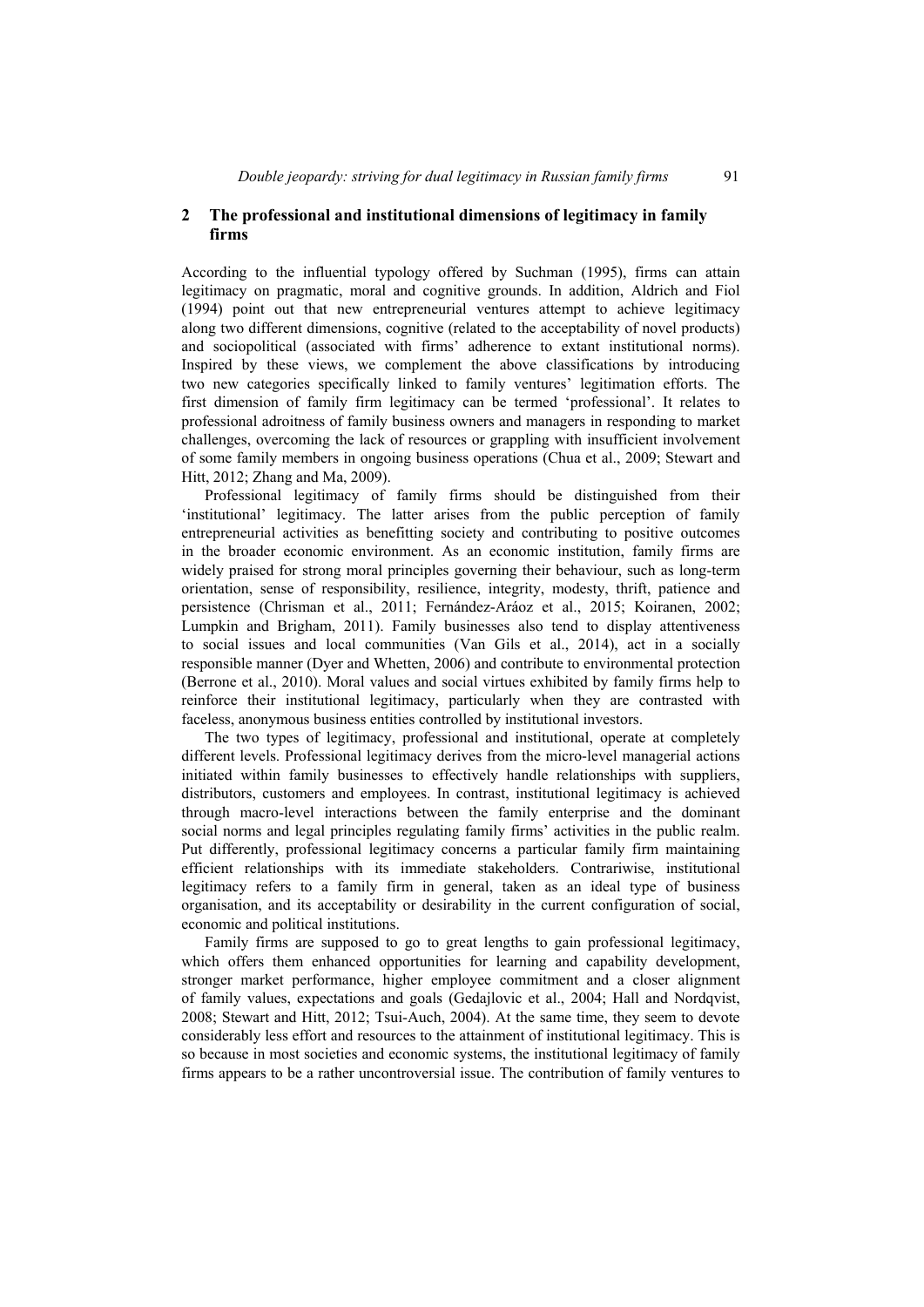## **2 The professional and institutional dimensions of legitimacy in family firms**

According to the influential typology offered by Suchman (1995), firms can attain legitimacy on pragmatic, moral and cognitive grounds. In addition, Aldrich and Fiol (1994) point out that new entrepreneurial ventures attempt to achieve legitimacy along two different dimensions, cognitive (related to the acceptability of novel products) and sociopolitical (associated with firms' adherence to extant institutional norms). Inspired by these views, we complement the above classifications by introducing two new categories specifically linked to family ventures' legitimation efforts. The first dimension of family firm legitimacy can be termed 'professional'. It relates to professional adroitness of family business owners and managers in responding to market challenges, overcoming the lack of resources or grappling with insufficient involvement of some family members in ongoing business operations (Chua et al., 2009; Stewart and Hitt, 2012; Zhang and Ma, 2009).

Professional legitimacy of family firms should be distinguished from their 'institutional' legitimacy. The latter arises from the public perception of family entrepreneurial activities as benefitting society and contributing to positive outcomes in the broader economic environment. As an economic institution, family firms are widely praised for strong moral principles governing their behaviour, such as long-term orientation, sense of responsibility, resilience, integrity, modesty, thrift, patience and persistence (Chrisman et al., 2011; Fernández-Aráoz et al., 2015; Koiranen, 2002; Lumpkin and Brigham, 2011). Family businesses also tend to display attentiveness to social issues and local communities (Van Gils et al., 2014), act in a socially responsible manner (Dyer and Whetten, 2006) and contribute to environmental protection (Berrone et al., 2010). Moral values and social virtues exhibited by family firms help to reinforce their institutional legitimacy, particularly when they are contrasted with faceless, anonymous business entities controlled by institutional investors.

The two types of legitimacy, professional and institutional, operate at completely different levels. Professional legitimacy derives from the micro-level managerial actions initiated within family businesses to effectively handle relationships with suppliers, distributors, customers and employees. In contrast, institutional legitimacy is achieved through macro-level interactions between the family enterprise and the dominant social norms and legal principles regulating family firms' activities in the public realm. Put differently, professional legitimacy concerns a particular family firm maintaining efficient relationships with its immediate stakeholders. Contrariwise, institutional legitimacy refers to a family firm in general, taken as an ideal type of business organisation, and its acceptability or desirability in the current configuration of social, economic and political institutions.

Family firms are supposed to go to great lengths to gain professional legitimacy, which offers them enhanced opportunities for learning and capability development, stronger market performance, higher employee commitment and a closer alignment of family values, expectations and goals (Gedajlovic et al., 2004; Hall and Nordqvist, 2008; Stewart and Hitt, 2012; Tsui-Auch, 2004). At the same time, they seem to devote considerably less effort and resources to the attainment of institutional legitimacy. This is so because in most societies and economic systems, the institutional legitimacy of family firms appears to be a rather uncontroversial issue. The contribution of family ventures to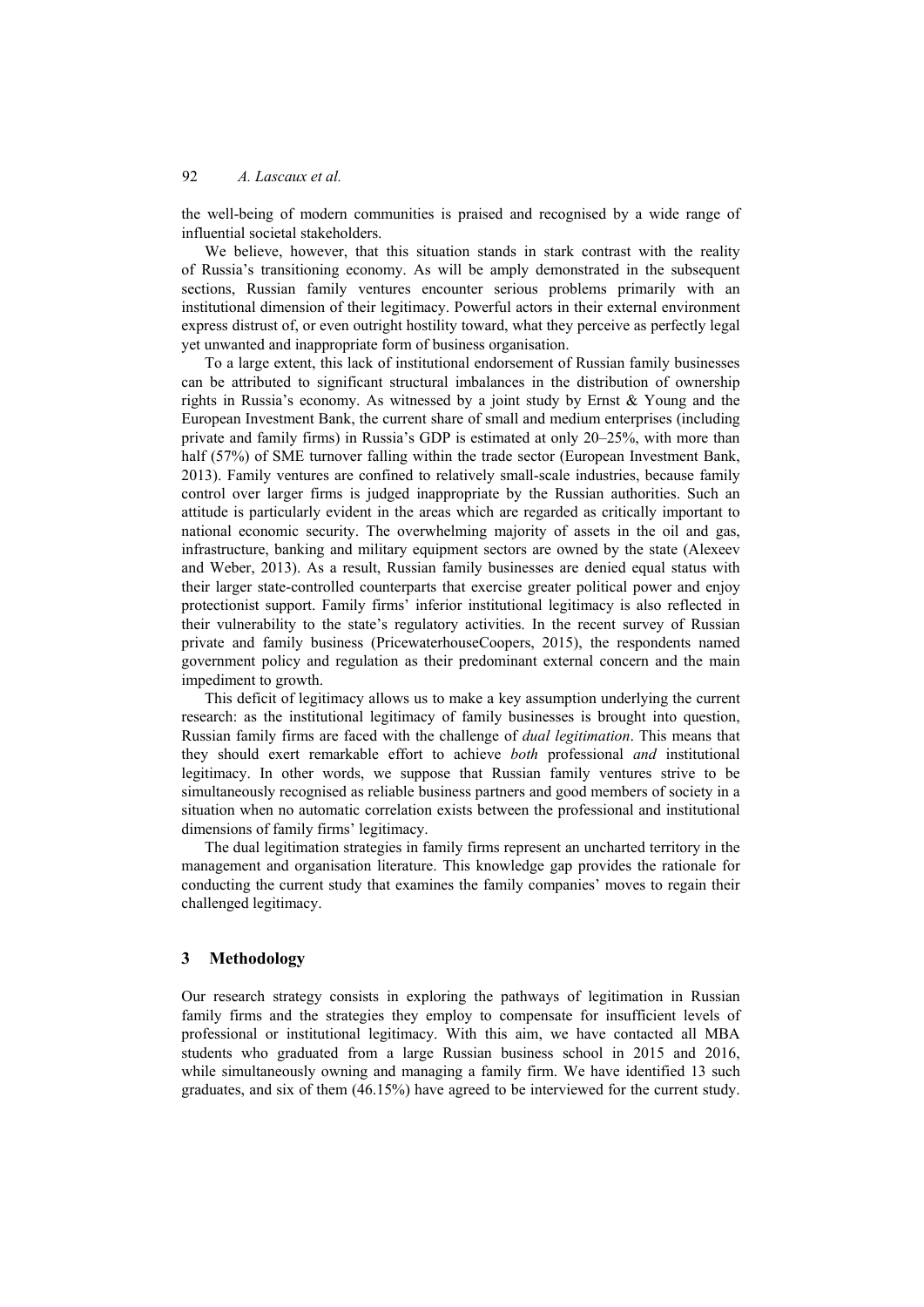the well-being of modern communities is praised and recognised by a wide range of influential societal stakeholders.

We believe, however, that this situation stands in stark contrast with the reality of Russia's transitioning economy. As will be amply demonstrated in the subsequent sections, Russian family ventures encounter serious problems primarily with an institutional dimension of their legitimacy. Powerful actors in their external environment express distrust of, or even outright hostility toward, what they perceive as perfectly legal yet unwanted and inappropriate form of business organisation.

To a large extent, this lack of institutional endorsement of Russian family businesses can be attributed to significant structural imbalances in the distribution of ownership rights in Russia's economy. As witnessed by a joint study by Ernst  $\&$  Young and the European Investment Bank, the current share of small and medium enterprises (including private and family firms) in Russia's GDP is estimated at only 20–25%, with more than half (57%) of SME turnover falling within the trade sector (European Investment Bank, 2013). Family ventures are confined to relatively small-scale industries, because family control over larger firms is judged inappropriate by the Russian authorities. Such an attitude is particularly evident in the areas which are regarded as critically important to national economic security. The overwhelming majority of assets in the oil and gas, infrastructure, banking and military equipment sectors are owned by the state (Alexeev and Weber, 2013). As a result, Russian family businesses are denied equal status with their larger state-controlled counterparts that exercise greater political power and enjoy protectionist support. Family firms' inferior institutional legitimacy is also reflected in their vulnerability to the state's regulatory activities. In the recent survey of Russian private and family business (PricewaterhouseCoopers, 2015), the respondents named government policy and regulation as their predominant external concern and the main impediment to growth.

This deficit of legitimacy allows us to make a key assumption underlying the current research: as the institutional legitimacy of family businesses is brought into question, Russian family firms are faced with the challenge of *dual legitimation*. This means that they should exert remarkable effort to achieve *both* professional *and* institutional legitimacy. In other words, we suppose that Russian family ventures strive to be simultaneously recognised as reliable business partners and good members of society in a situation when no automatic correlation exists between the professional and institutional dimensions of family firms' legitimacy.

The dual legitimation strategies in family firms represent an uncharted territory in the management and organisation literature. This knowledge gap provides the rationale for conducting the current study that examines the family companies' moves to regain their challenged legitimacy.

## **3 Methodology**

Our research strategy consists in exploring the pathways of legitimation in Russian family firms and the strategies they employ to compensate for insufficient levels of professional or institutional legitimacy. With this aim, we have contacted all MBA students who graduated from a large Russian business school in 2015 and 2016, while simultaneously owning and managing a family firm. We have identified 13 such graduates, and six of them (46.15%) have agreed to be interviewed for the current study.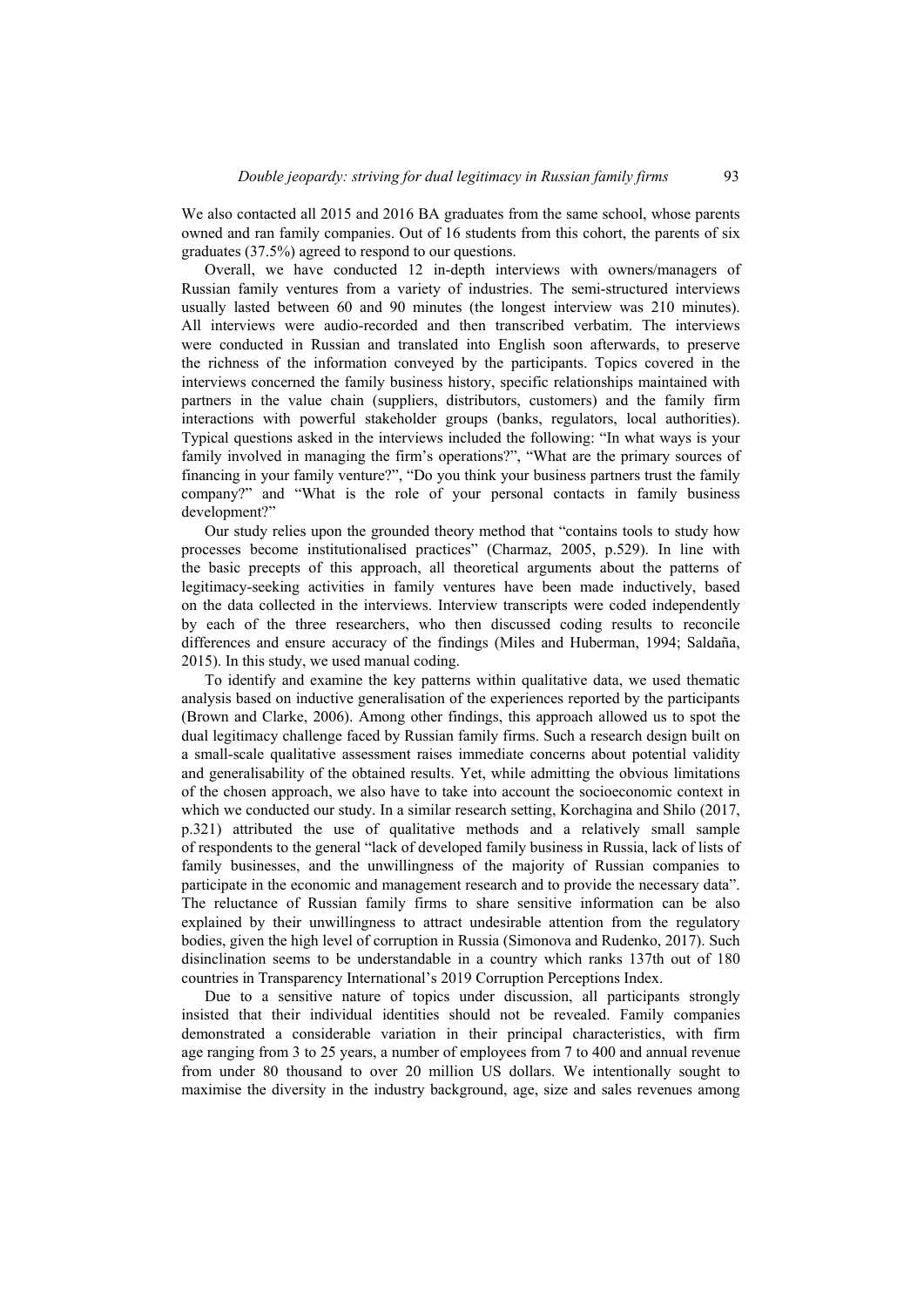We also contacted all 2015 and 2016 BA graduates from the same school, whose parents owned and ran family companies. Out of 16 students from this cohort, the parents of six graduates (37.5%) agreed to respond to our questions.

Overall, we have conducted 12 in-depth interviews with owners/managers of Russian family ventures from a variety of industries. The semi-structured interviews usually lasted between 60 and 90 minutes (the longest interview was 210 minutes). All interviews were audio-recorded and then transcribed verbatim. The interviews were conducted in Russian and translated into English soon afterwards, to preserve the richness of the information conveyed by the participants. Topics covered in the interviews concerned the family business history, specific relationships maintained with partners in the value chain (suppliers, distributors, customers) and the family firm interactions with powerful stakeholder groups (banks, regulators, local authorities). Typical questions asked in the interviews included the following: "In what ways is your family involved in managing the firm's operations?", "What are the primary sources of financing in your family venture?", "Do you think your business partners trust the family company?" and "What is the role of your personal contacts in family business development?"

Our study relies upon the grounded theory method that "contains tools to study how processes become institutionalised practices" (Charmaz, 2005, p.529). In line with the basic precepts of this approach, all theoretical arguments about the patterns of legitimacy-seeking activities in family ventures have been made inductively, based on the data collected in the interviews. Interview transcripts were coded independently by each of the three researchers, who then discussed coding results to reconcile differences and ensure accuracy of the findings (Miles and Huberman, 1994; Saldaña, 2015). In this study, we used manual coding.

To identify and examine the key patterns within qualitative data, we used thematic analysis based on inductive generalisation of the experiences reported by the participants (Brown and Clarke, 2006). Among other findings, this approach allowed us to spot the dual legitimacy challenge faced by Russian family firms. Such a research design built on a small-scale qualitative assessment raises immediate concerns about potential validity and generalisability of the obtained results. Yet, while admitting the obvious limitations of the chosen approach, we also have to take into account the socioeconomic context in which we conducted our study. In a similar research setting, Korchagina and Shilo (2017, p.321) attributed the use of qualitative methods and a relatively small sample of respondents to the general "lack of developed family business in Russia, lack of lists of family businesses, and the unwillingness of the majority of Russian companies to participate in the economic and management research and to provide the necessary data". The reluctance of Russian family firms to share sensitive information can be also explained by their unwillingness to attract undesirable attention from the regulatory bodies, given the high level of corruption in Russia (Simonova and Rudenko, 2017). Such disinclination seems to be understandable in a country which ranks 137th out of 180 countries in Transparency International's 2019 Corruption Perceptions Index.

Due to a sensitive nature of topics under discussion, all participants strongly insisted that their individual identities should not be revealed. Family companies demonstrated a considerable variation in their principal characteristics, with firm age ranging from 3 to 25 years, a number of employees from 7 to 400 and annual revenue from under 80 thousand to over 20 million US dollars. We intentionally sought to maximise the diversity in the industry background, age, size and sales revenues among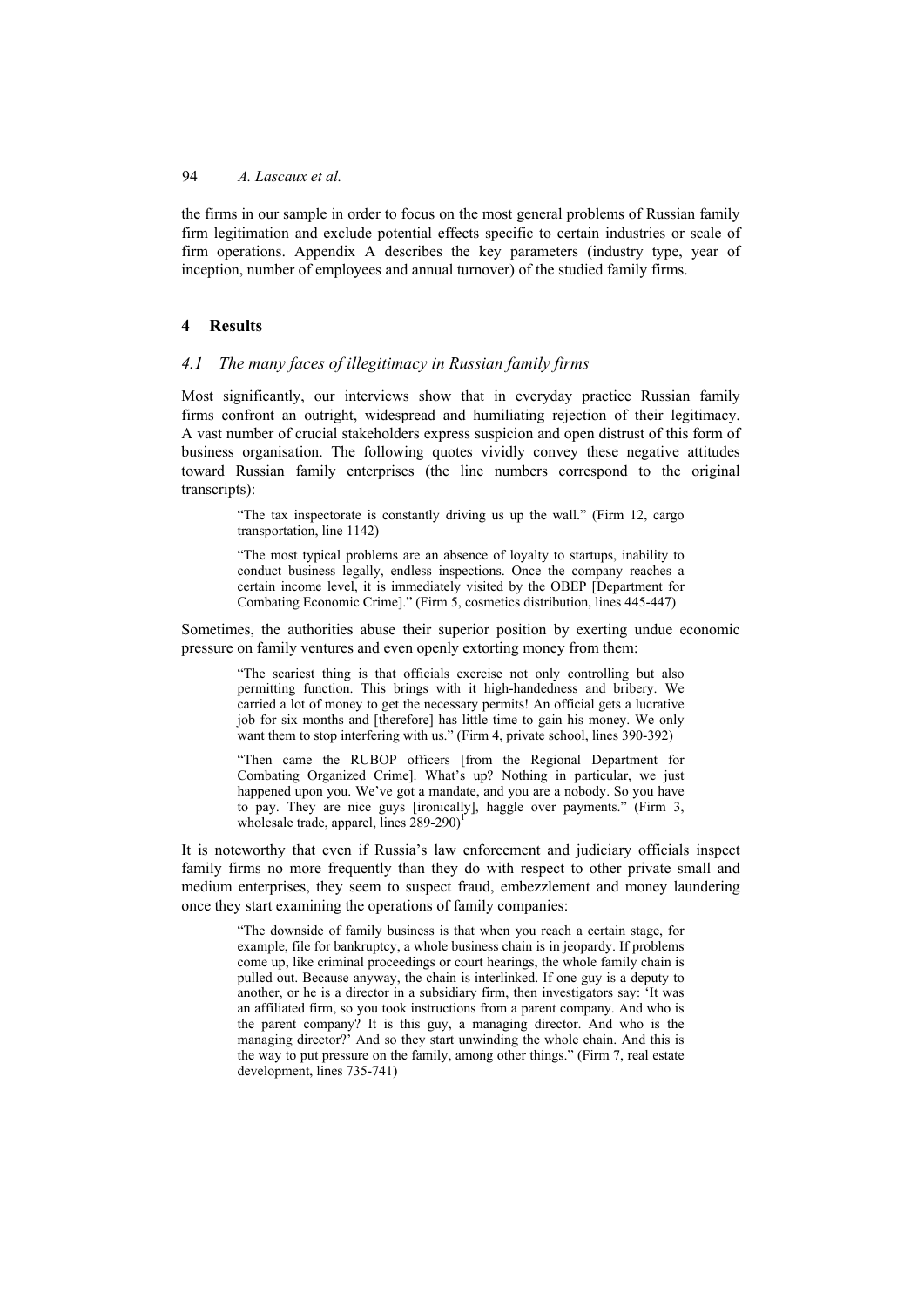the firms in our sample in order to focus on the most general problems of Russian family firm legitimation and exclude potential effects specific to certain industries or scale of firm operations. Appendix A describes the key parameters (industry type, year of inception, number of employees and annual turnover) of the studied family firms.

# **4 Results**

## *4.1 The many faces of illegitimacy in Russian family firms*

Most significantly, our interviews show that in everyday practice Russian family firms confront an outright, widespread and humiliating rejection of their legitimacy. A vast number of crucial stakeholders express suspicion and open distrust of this form of business organisation. The following quotes vividly convey these negative attitudes toward Russian family enterprises (the line numbers correspond to the original transcripts):

"The tax inspectorate is constantly driving us up the wall." (Firm 12, cargo transportation, line 1142)

"The most typical problems are an absence of loyalty to startups, inability to conduct business legally, endless inspections. Once the company reaches a certain income level, it is immediately visited by the OBEP [Department for Combating Economic Crime]." (Firm 5, cosmetics distribution, lines 445-447)

Sometimes, the authorities abuse their superior position by exerting undue economic pressure on family ventures and even openly extorting money from them:

"The scariest thing is that officials exercise not only controlling but also permitting function. This brings with it high-handedness and bribery. We carried a lot of money to get the necessary permits! An official gets a lucrative job for six months and [therefore] has little time to gain his money. We only want them to stop interfering with us." (Firm 4, private school, lines 390-392)

"Then came the RUBOP officers [from the Regional Department for Combating Organized Crime]. What's up? Nothing in particular, we just happened upon you. We've got a mandate, and you are a nobody. So you have to pay. They are nice guys [ironically], haggle over payments." (Firm 3, wholesale trade, apparel, lines  $289-290$ <sup>1</sup>

It is noteworthy that even if Russia's law enforcement and judiciary officials inspect family firms no more frequently than they do with respect to other private small and medium enterprises, they seem to suspect fraud, embezzlement and money laundering once they start examining the operations of family companies:

> "The downside of family business is that when you reach a certain stage, for example, file for bankruptcy, a whole business chain is in jeopardy. If problems come up, like criminal proceedings or court hearings, the whole family chain is pulled out. Because anyway, the chain is interlinked. If one guy is a deputy to another, or he is a director in a subsidiary firm, then investigators say: 'It was an affiliated firm, so you took instructions from a parent company. And who is the parent company? It is this guy, a managing director. And who is the managing director?' And so they start unwinding the whole chain. And this is the way to put pressure on the family, among other things." (Firm 7, real estate development, lines 735-741)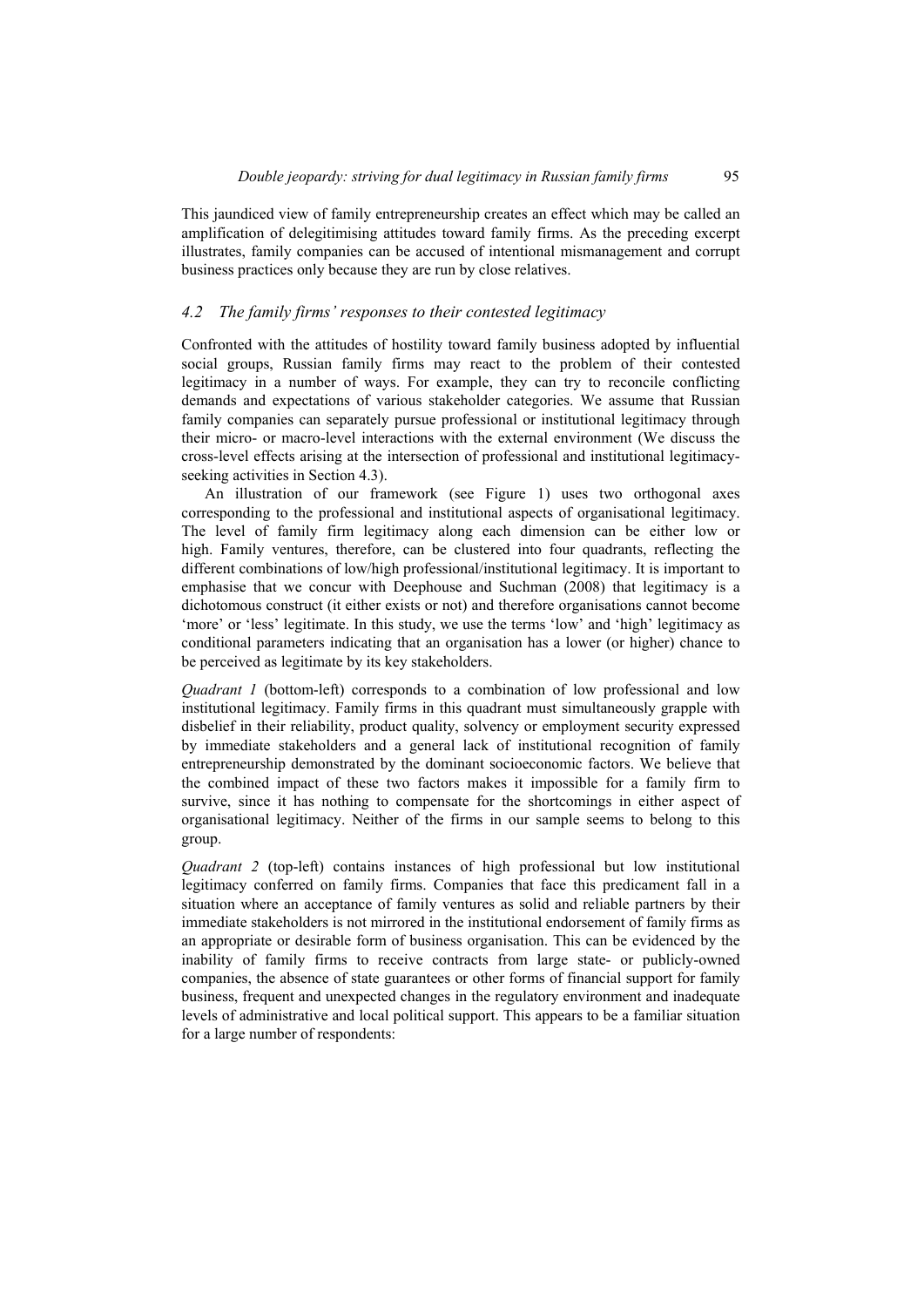This jaundiced view of family entrepreneurship creates an effect which may be called an amplification of delegitimising attitudes toward family firms. As the preceding excerpt illustrates, family companies can be accused of intentional mismanagement and corrupt business practices only because they are run by close relatives.

## *4.2 The family firms' responses to their contested legitimacy*

Confronted with the attitudes of hostility toward family business adopted by influential social groups, Russian family firms may react to the problem of their contested legitimacy in a number of ways. For example, they can try to reconcile conflicting demands and expectations of various stakeholder categories. We assume that Russian family companies can separately pursue professional or institutional legitimacy through their micro- or macro-level interactions with the external environment (We discuss the cross-level effects arising at the intersection of professional and institutional legitimacyseeking activities in Section 4.3).

An illustration of our framework (see Figure 1) uses two orthogonal axes corresponding to the professional and institutional aspects of organisational legitimacy. The level of family firm legitimacy along each dimension can be either low or high. Family ventures, therefore, can be clustered into four quadrants, reflecting the different combinations of low/high professional/institutional legitimacy. It is important to emphasise that we concur with Deephouse and Suchman (2008) that legitimacy is a dichotomous construct (it either exists or not) and therefore organisations cannot become 'more' or 'less' legitimate. In this study, we use the terms 'low' and 'high' legitimacy as conditional parameters indicating that an organisation has a lower (or higher) chance to be perceived as legitimate by its key stakeholders.

*Quadrant 1* (bottom-left) corresponds to a combination of low professional and low institutional legitimacy. Family firms in this quadrant must simultaneously grapple with disbelief in their reliability, product quality, solvency or employment security expressed by immediate stakeholders and a general lack of institutional recognition of family entrepreneurship demonstrated by the dominant socioeconomic factors. We believe that the combined impact of these two factors makes it impossible for a family firm to survive, since it has nothing to compensate for the shortcomings in either aspect of organisational legitimacy. Neither of the firms in our sample seems to belong to this group.

*Quadrant 2* (top-left) contains instances of high professional but low institutional legitimacy conferred on family firms. Companies that face this predicament fall in a situation where an acceptance of family ventures as solid and reliable partners by their immediate stakeholders is not mirrored in the institutional endorsement of family firms as an appropriate or desirable form of business organisation. This can be evidenced by the inability of family firms to receive contracts from large state- or publicly-owned companies, the absence of state guarantees or other forms of financial support for family business, frequent and unexpected changes in the regulatory environment and inadequate levels of administrative and local political support. This appears to be a familiar situation for a large number of respondents: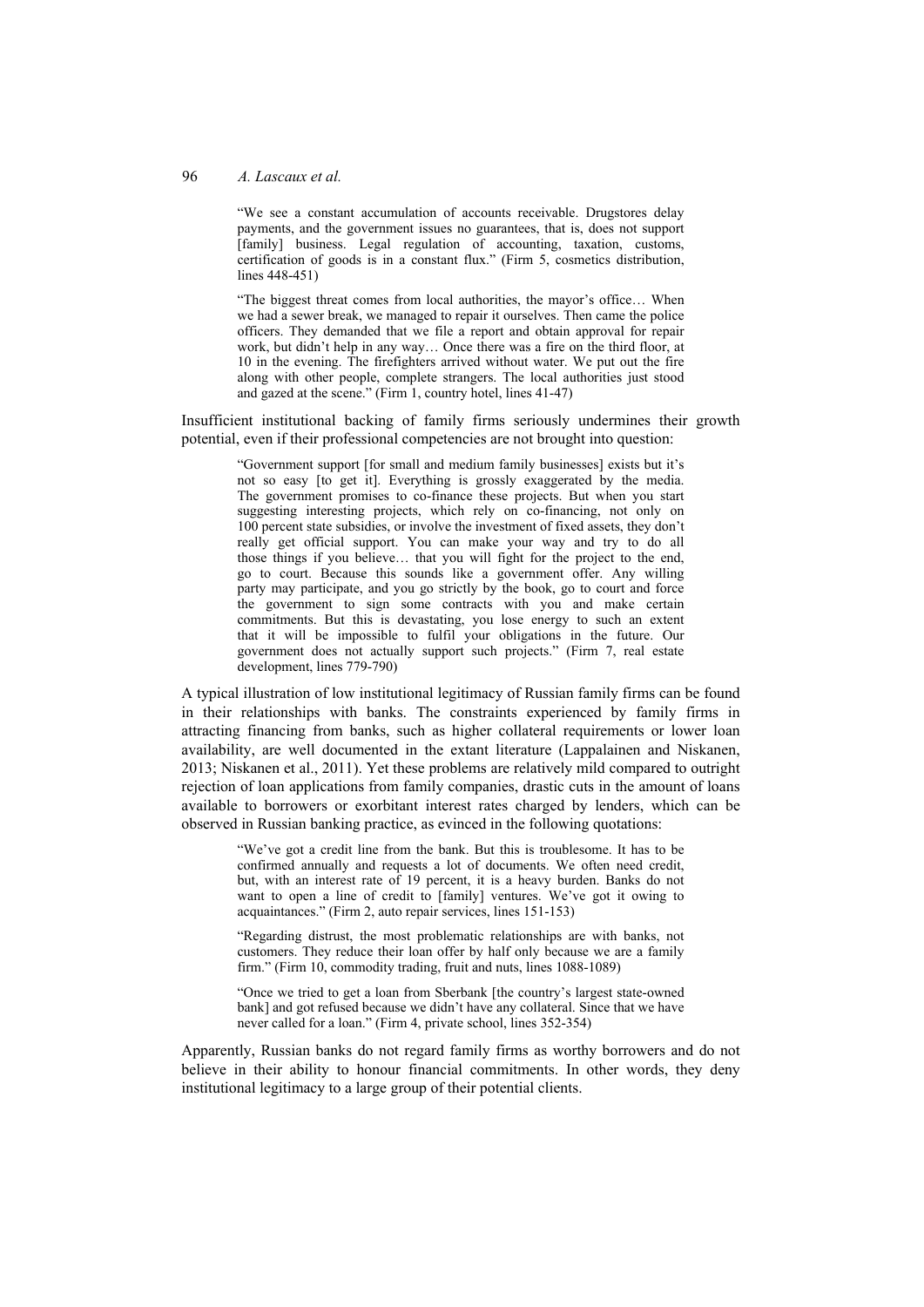"We see a constant accumulation of accounts receivable. Drugstores delay payments, and the government issues no guarantees, that is, does not support [family] business. Legal regulation of accounting, taxation, customs, certification of goods is in a constant flux." (Firm 5, cosmetics distribution, lines 448-451)

"The biggest threat comes from local authorities, the mayor's office… When we had a sewer break, we managed to repair it ourselves. Then came the police officers. They demanded that we file a report and obtain approval for repair work, but didn't help in any way… Once there was a fire on the third floor, at 10 in the evening. The firefighters arrived without water. We put out the fire along with other people, complete strangers. The local authorities just stood and gazed at the scene." (Firm 1, country hotel, lines 41-47)

Insufficient institutional backing of family firms seriously undermines their growth potential, even if their professional competencies are not brought into question:

"Government support [for small and medium family businesses] exists but it's not so easy [to get it]. Everything is grossly exaggerated by the media. The government promises to co-finance these projects. But when you start suggesting interesting projects, which rely on co-financing, not only on 100 percent state subsidies, or involve the investment of fixed assets, they don't really get official support. You can make your way and try to do all those things if you believe… that you will fight for the project to the end, go to court. Because this sounds like a government offer. Any willing party may participate, and you go strictly by the book, go to court and force the government to sign some contracts with you and make certain commitments. But this is devastating, you lose energy to such an extent that it will be impossible to fulfil your obligations in the future. Our government does not actually support such projects." (Firm 7, real estate development, lines 779-790)

A typical illustration of low institutional legitimacy of Russian family firms can be found in their relationships with banks. The constraints experienced by family firms in attracting financing from banks, such as higher collateral requirements or lower loan availability, are well documented in the extant literature (Lappalainen and Niskanen, 2013; Niskanen et al., 2011). Yet these problems are relatively mild compared to outright rejection of loan applications from family companies, drastic cuts in the amount of loans available to borrowers or exorbitant interest rates charged by lenders, which can be observed in Russian banking practice, as evinced in the following quotations:

> "We've got a credit line from the bank. But this is troublesome. It has to be confirmed annually and requests a lot of documents. We often need credit, but, with an interest rate of 19 percent, it is a heavy burden. Banks do not want to open a line of credit to [family] ventures. We've got it owing to acquaintances." (Firm 2, auto repair services, lines 151-153)

> "Regarding distrust, the most problematic relationships are with banks, not customers. They reduce their loan offer by half only because we are a family firm." (Firm 10, commodity trading, fruit and nuts, lines 1088-1089)

> "Once we tried to get a loan from Sberbank [the country's largest state-owned bank] and got refused because we didn't have any collateral. Since that we have never called for a loan." (Firm 4, private school, lines 352-354)

Apparently, Russian banks do not regard family firms as worthy borrowers and do not believe in their ability to honour financial commitments. In other words, they deny institutional legitimacy to a large group of their potential clients.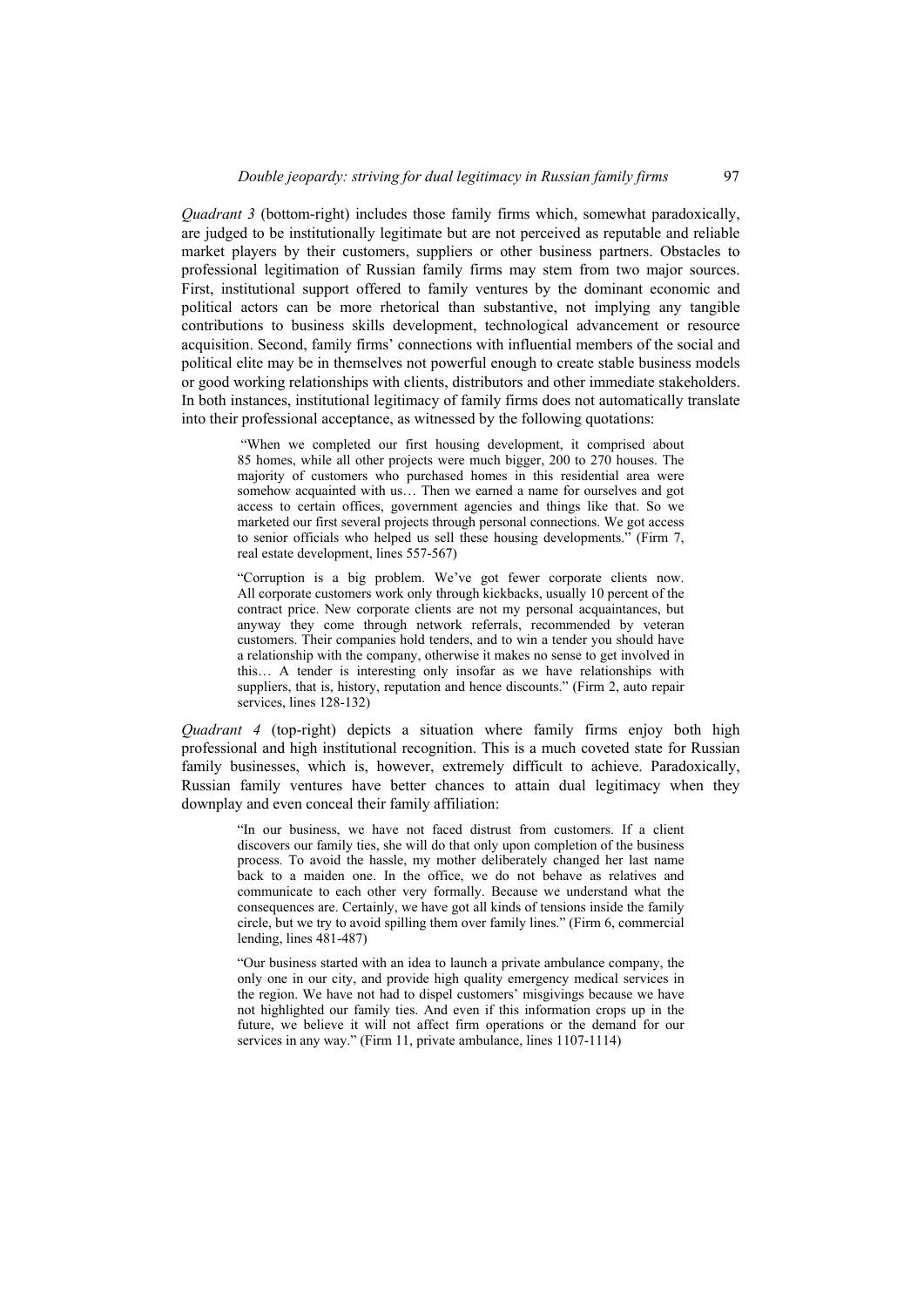*Quadrant 3* (bottom-right) includes those family firms which, somewhat paradoxically, are judged to be institutionally legitimate but are not perceived as reputable and reliable market players by their customers, suppliers or other business partners. Obstacles to professional legitimation of Russian family firms may stem from two major sources. First, institutional support offered to family ventures by the dominant economic and political actors can be more rhetorical than substantive, not implying any tangible contributions to business skills development, technological advancement or resource acquisition. Second, family firms' connections with influential members of the social and political elite may be in themselves not powerful enough to create stable business models or good working relationships with clients, distributors and other immediate stakeholders. In both instances, institutional legitimacy of family firms does not automatically translate into their professional acceptance, as witnessed by the following quotations:

> "When we completed our first housing development, it comprised about 85 homes, while all other projects were much bigger, 200 to 270 houses. The majority of customers who purchased homes in this residential area were somehow acquainted with us... Then we earned a name for ourselves and got access to certain offices, government agencies and things like that. So we marketed our first several projects through personal connections. We got access to senior officials who helped us sell these housing developments." (Firm 7, real estate development, lines 557-567)

> "Corruption is a big problem. We've got fewer corporate clients now. All corporate customers work only through kickbacks, usually 10 percent of the contract price. New corporate clients are not my personal acquaintances, but anyway they come through network referrals, recommended by veteran customers. Their companies hold tenders, and to win a tender you should have a relationship with the company, otherwise it makes no sense to get involved in this… A tender is interesting only insofar as we have relationships with suppliers, that is, history, reputation and hence discounts." (Firm 2, auto repair services, lines 128-132)

*Quadrant 4* (top-right) depicts a situation where family firms enjoy both high professional and high institutional recognition. This is a much coveted state for Russian family businesses, which is, however, extremely difficult to achieve. Paradoxically, Russian family ventures have better chances to attain dual legitimacy when they downplay and even conceal their family affiliation:

> "In our business, we have not faced distrust from customers. If a client discovers our family ties, she will do that only upon completion of the business process. To avoid the hassle, my mother deliberately changed her last name back to a maiden one. In the office, we do not behave as relatives and communicate to each other very formally. Because we understand what the consequences are. Certainly, we have got all kinds of tensions inside the family circle, but we try to avoid spilling them over family lines." (Firm 6, commercial lending, lines 481-487)

> "Our business started with an idea to launch a private ambulance company, the only one in our city, and provide high quality emergency medical services in the region. We have not had to dispel customers' misgivings because we have not highlighted our family ties. And even if this information crops up in the future, we believe it will not affect firm operations or the demand for our services in any way." (Firm 11, private ambulance, lines 1107-1114)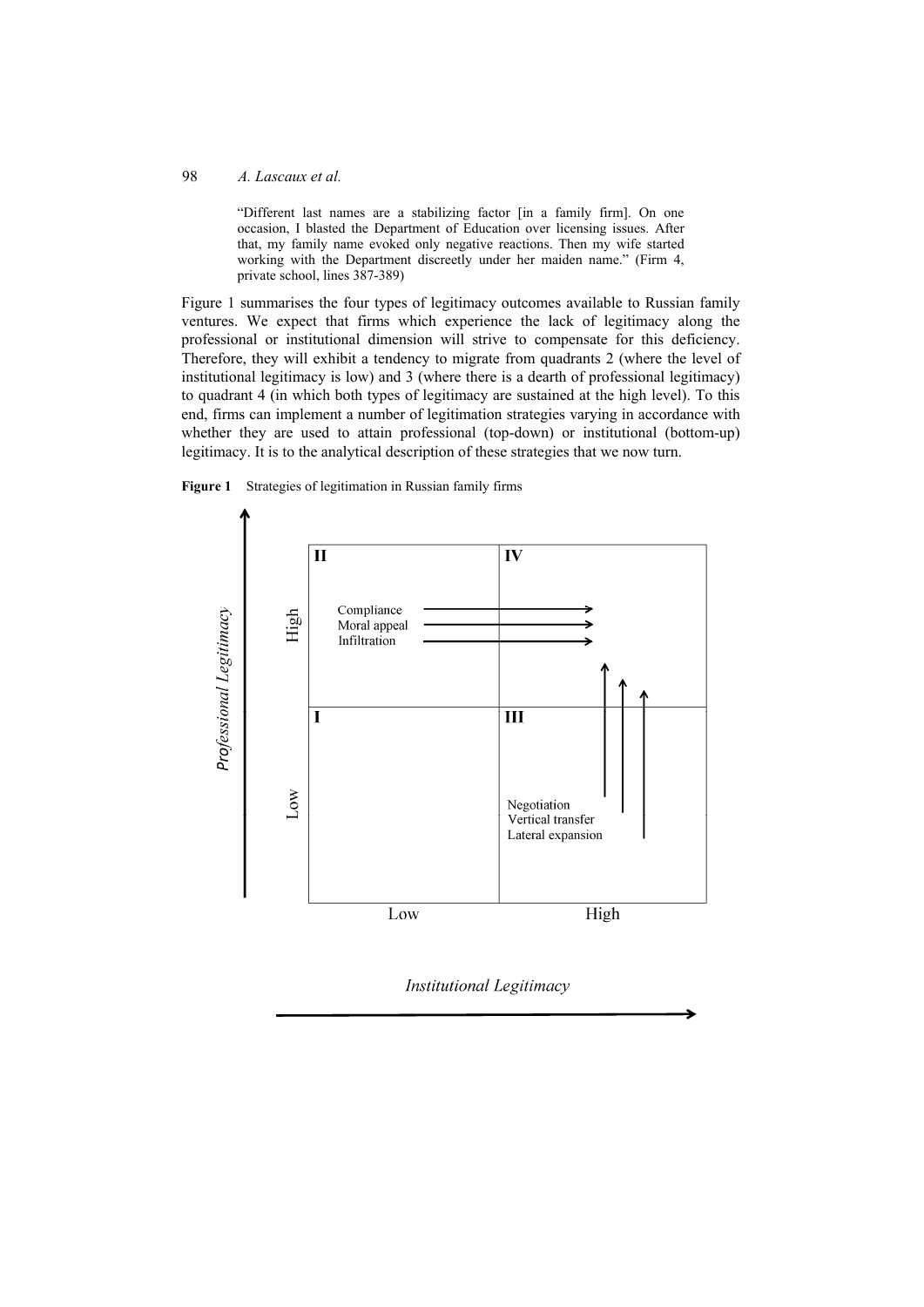"Different last names are a stabilizing factor [in a family firm]. On one occasion, I blasted the Department of Education over licensing issues. After that, my family name evoked only negative reactions. Then my wife started working with the Department discreetly under her maiden name." (Firm 4, private school, lines 387-389)

Figure 1 summarises the four types of legitimacy outcomes available to Russian family ventures. We expect that firms which experience the lack of legitimacy along the professional or institutional dimension will strive to compensate for this deficiency. Therefore, they will exhibit a tendency to migrate from quadrants 2 (where the level of institutional legitimacy is low) and 3 (where there is a dearth of professional legitimacy) to quadrant 4 (in which both types of legitimacy are sustained at the high level). To this end, firms can implement a number of legitimation strategies varying in accordance with whether they are used to attain professional (top-down) or institutional (bottom-up) legitimacy. It is to the analytical description of these strategies that we now turn.





Institutional Legitimacy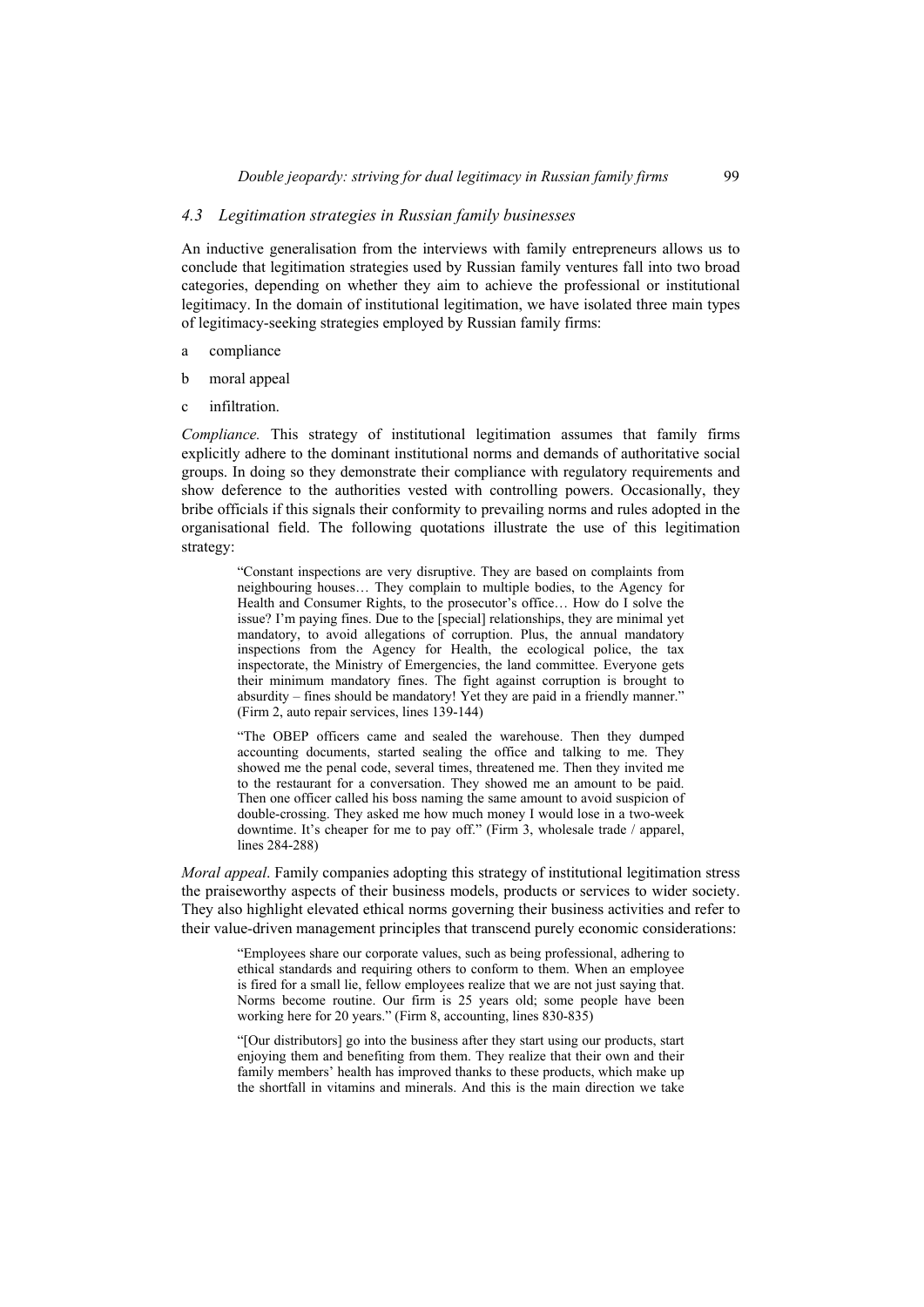## *4.3 Legitimation strategies in Russian family businesses*

An inductive generalisation from the interviews with family entrepreneurs allows us to conclude that legitimation strategies used by Russian family ventures fall into two broad categories, depending on whether they aim to achieve the professional or institutional legitimacy. In the domain of institutional legitimation, we have isolated three main types of legitimacy-seeking strategies employed by Russian family firms:

- a compliance
- b moral appeal
- c infiltration.

*Compliance.* This strategy of institutional legitimation assumes that family firms explicitly adhere to the dominant institutional norms and demands of authoritative social groups. In doing so they demonstrate their compliance with regulatory requirements and show deference to the authorities vested with controlling powers. Occasionally, they bribe officials if this signals their conformity to prevailing norms and rules adopted in the organisational field. The following quotations illustrate the use of this legitimation strategy:

> "Constant inspections are very disruptive. They are based on complaints from neighbouring houses… They complain to multiple bodies, to the Agency for Health and Consumer Rights, to the prosecutor's office… How do I solve the issue? I'm paying fines. Due to the [special] relationships, they are minimal yet mandatory, to avoid allegations of corruption. Plus, the annual mandatory inspections from the Agency for Health, the ecological police, the tax inspectorate, the Ministry of Emergencies, the land committee. Everyone gets their minimum mandatory fines. The fight against corruption is brought to absurdity – fines should be mandatory! Yet they are paid in a friendly manner." (Firm 2, auto repair services, lines 139-144)

> "The OBEP officers came and sealed the warehouse. Then they dumped accounting documents, started sealing the office and talking to me. They showed me the penal code, several times, threatened me. Then they invited me to the restaurant for a conversation. They showed me an amount to be paid. Then one officer called his boss naming the same amount to avoid suspicion of double-crossing. They asked me how much money I would lose in a two-week downtime. It's cheaper for me to pay off." (Firm 3, wholesale trade / apparel, lines 284-288)

*Moral appeal*. Family companies adopting this strategy of institutional legitimation stress the praiseworthy aspects of their business models, products or services to wider society. They also highlight elevated ethical norms governing their business activities and refer to their value-driven management principles that transcend purely economic considerations:

> "Employees share our corporate values, such as being professional, adhering to ethical standards and requiring others to conform to them. When an employee is fired for a small lie, fellow employees realize that we are not just saying that. Norms become routine. Our firm is 25 years old; some people have been working here for 20 years." (Firm 8, accounting, lines 830-835)

> "[Our distributors] go into the business after they start using our products, start enjoying them and benefiting from them. They realize that their own and their family members' health has improved thanks to these products, which make up the shortfall in vitamins and minerals. And this is the main direction we take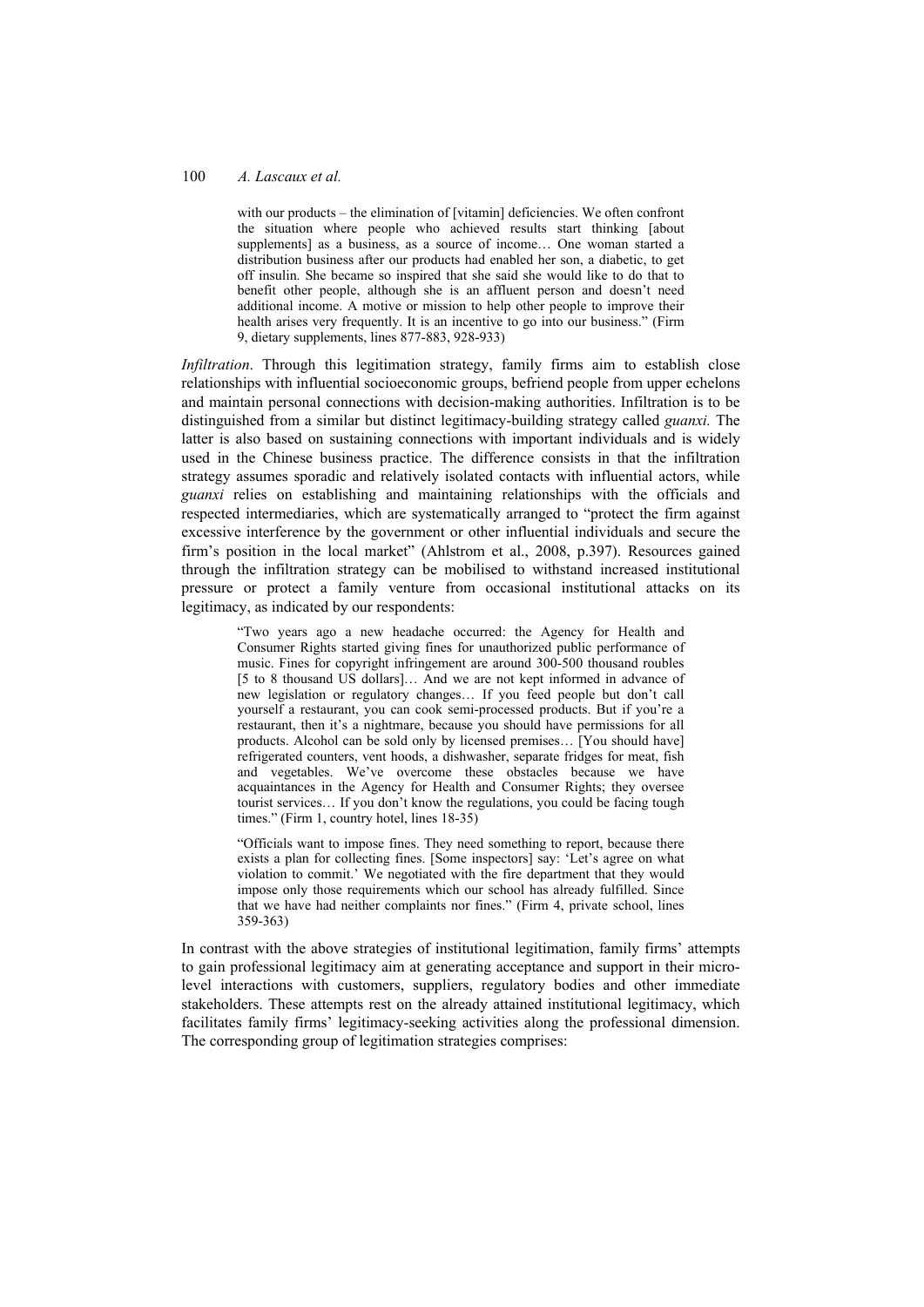with our products – the elimination of [vitamin] deficiencies. We often confront the situation where people who achieved results start thinking [about supplements] as a business, as a source of income... One woman started a distribution business after our products had enabled her son, a diabetic, to get off insulin. She became so inspired that she said she would like to do that to benefit other people, although she is an affluent person and doesn't need additional income. A motive or mission to help other people to improve their health arises very frequently. It is an incentive to go into our business." (Firm 9, dietary supplements, lines 877-883, 928-933)

*Infiltration*. Through this legitimation strategy, family firms aim to establish close relationships with influential socioeconomic groups, befriend people from upper echelons and maintain personal connections with decision-making authorities. Infiltration is to be distinguished from a similar but distinct legitimacy-building strategy called *guanxi.* The latter is also based on sustaining connections with important individuals and is widely used in the Chinese business practice. The difference consists in that the infiltration strategy assumes sporadic and relatively isolated contacts with influential actors, while *guanxi* relies on establishing and maintaining relationships with the officials and respected intermediaries, which are systematically arranged to "protect the firm against excessive interference by the government or other influential individuals and secure the firm's position in the local market" (Ahlstrom et al., 2008, p.397). Resources gained through the infiltration strategy can be mobilised to withstand increased institutional pressure or protect a family venture from occasional institutional attacks on its legitimacy, as indicated by our respondents:

"Two years ago a new headache occurred: the Agency for Health and Consumer Rights started giving fines for unauthorized public performance of music. Fines for copyright infringement are around 300-500 thousand roubles [5 to 8 thousand US dollars]… And we are not kept informed in advance of new legislation or regulatory changes… If you feed people but don't call yourself a restaurant, you can cook semi-processed products. But if you're a restaurant, then it's a nightmare, because you should have permissions for all products. Alcohol can be sold only by licensed premises… [You should have] refrigerated counters, vent hoods, a dishwasher, separate fridges for meat, fish and vegetables. We've overcome these obstacles because we have acquaintances in the Agency for Health and Consumer Rights; they oversee tourist services… If you don't know the regulations, you could be facing tough times." (Firm 1, country hotel, lines 18-35)

"Officials want to impose fines. They need something to report, because there exists a plan for collecting fines. [Some inspectors] say: 'Let's agree on what violation to commit.' We negotiated with the fire department that they would impose only those requirements which our school has already fulfilled. Since that we have had neither complaints nor fines." (Firm 4, private school, lines 359-363)

In contrast with the above strategies of institutional legitimation, family firms' attempts to gain professional legitimacy aim at generating acceptance and support in their microlevel interactions with customers, suppliers, regulatory bodies and other immediate stakeholders. These attempts rest on the already attained institutional legitimacy, which facilitates family firms' legitimacy-seeking activities along the professional dimension. The corresponding group of legitimation strategies comprises: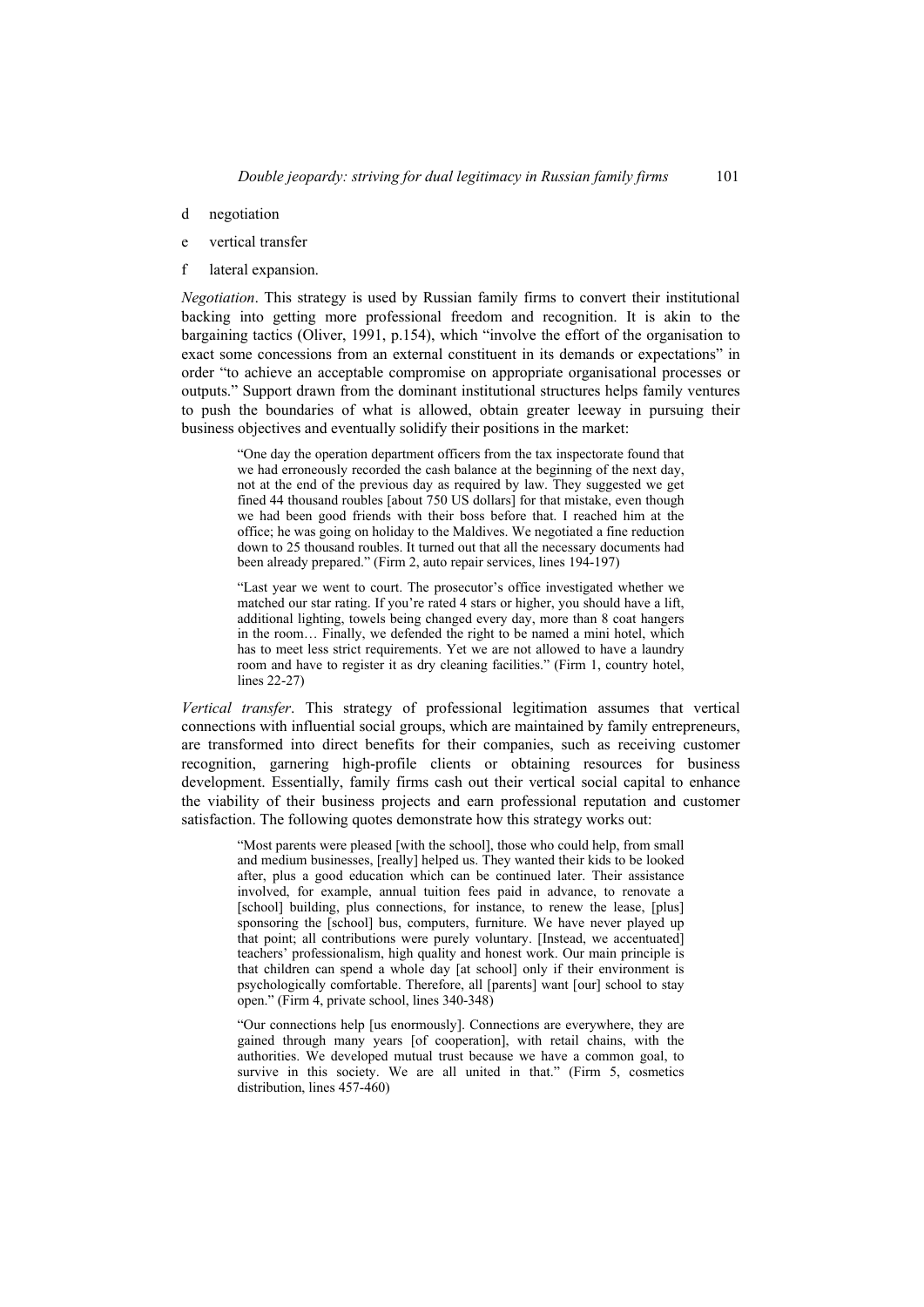- d negotiation
- e vertical transfer
- f lateral expansion.

*Negotiation*. This strategy is used by Russian family firms to convert their institutional backing into getting more professional freedom and recognition. It is akin to the bargaining tactics (Oliver, 1991, p.154), which "involve the effort of the organisation to exact some concessions from an external constituent in its demands or expectations" in order "to achieve an acceptable compromise on appropriate organisational processes or outputs." Support drawn from the dominant institutional structures helps family ventures to push the boundaries of what is allowed, obtain greater leeway in pursuing their business objectives and eventually solidify their positions in the market:

> "One day the operation department officers from the tax inspectorate found that we had erroneously recorded the cash balance at the beginning of the next day, not at the end of the previous day as required by law. They suggested we get fined 44 thousand roubles [about 750 US dollars] for that mistake, even though we had been good friends with their boss before that. I reached him at the office; he was going on holiday to the Maldives. We negotiated a fine reduction down to 25 thousand roubles. It turned out that all the necessary documents had been already prepared." (Firm 2, auto repair services, lines 194-197)

> "Last year we went to court. The prosecutor's office investigated whether we matched our star rating. If you're rated 4 stars or higher, you should have a lift, additional lighting, towels being changed every day, more than 8 coat hangers in the room… Finally, we defended the right to be named a mini hotel, which has to meet less strict requirements. Yet we are not allowed to have a laundry room and have to register it as dry cleaning facilities." (Firm 1, country hotel, lines 22-27)

*Vertical transfer*. This strategy of professional legitimation assumes that vertical connections with influential social groups, which are maintained by family entrepreneurs, are transformed into direct benefits for their companies, such as receiving customer recognition, garnering high-profile clients or obtaining resources for business development. Essentially, family firms cash out their vertical social capital to enhance the viability of their business projects and earn professional reputation and customer satisfaction. The following quotes demonstrate how this strategy works out:

> "Most parents were pleased [with the school], those who could help, from small and medium businesses, [really] helped us. They wanted their kids to be looked after, plus a good education which can be continued later. Their assistance involved, for example, annual tuition fees paid in advance, to renovate a [school] building, plus connections, for instance, to renew the lease, [plus] sponsoring the [school] bus, computers, furniture. We have never played up that point; all contributions were purely voluntary. [Instead, we accentuated] teachers' professionalism, high quality and honest work. Our main principle is that children can spend a whole day [at school] only if their environment is psychologically comfortable. Therefore, all [parents] want [our] school to stay open." (Firm 4, private school, lines 340-348)

> "Our connections help [us enormously]. Connections are everywhere, they are gained through many years [of cooperation], with retail chains, with the authorities. We developed mutual trust because we have a common goal, to survive in this society. We are all united in that." (Firm 5, cosmetics distribution, lines 457-460)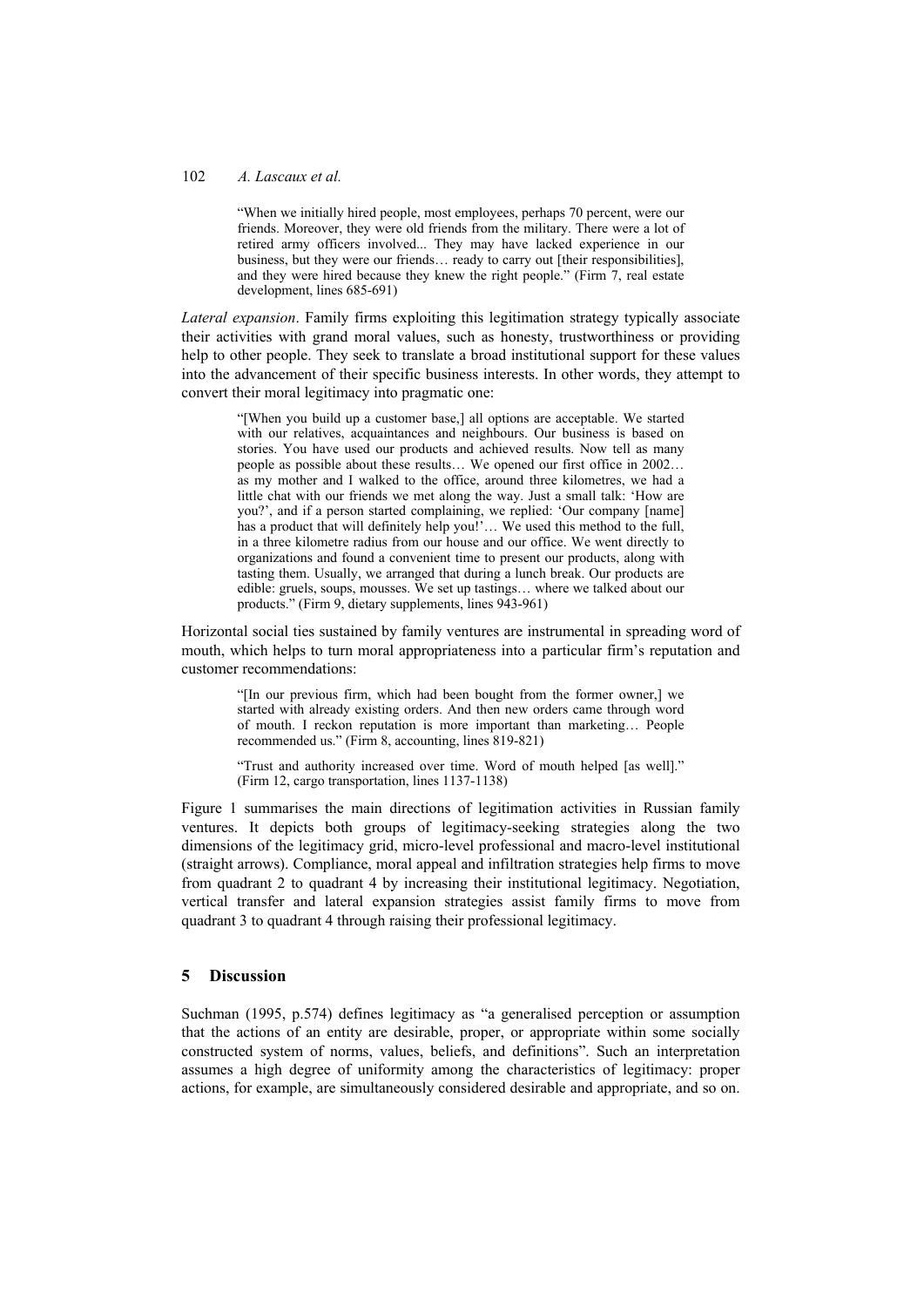#### 102 *A. Lascaux et al.*

"When we initially hired people, most employees, perhaps 70 percent, were our friends. Moreover, they were old friends from the military. There were a lot of retired army officers involved... They may have lacked experience in our business, but they were our friends… ready to carry out [their responsibilities], and they were hired because they knew the right people." (Firm 7, real estate development, lines 685-691)

*Lateral expansion*. Family firms exploiting this legitimation strategy typically associate their activities with grand moral values, such as honesty, trustworthiness or providing help to other people. They seek to translate a broad institutional support for these values into the advancement of their specific business interests. In other words, they attempt to convert their moral legitimacy into pragmatic one:

"[When you build up a customer base,] all options are acceptable. We started with our relatives, acquaintances and neighbours. Our business is based on stories. You have used our products and achieved results. Now tell as many people as possible about these results… We opened our first office in 2002… as my mother and I walked to the office, around three kilometres, we had a little chat with our friends we met along the way. Just a small talk: 'How are you?', and if a person started complaining, we replied: 'Our company [name] has a product that will definitely help you!'... We used this method to the full, in a three kilometre radius from our house and our office. We went directly to organizations and found a convenient time to present our products, along with tasting them. Usually, we arranged that during a lunch break. Our products are edible: gruels, soups, mousses. We set up tastings… where we talked about our products." (Firm 9, dietary supplements, lines 943-961)

Horizontal social ties sustained by family ventures are instrumental in spreading word of mouth, which helps to turn moral appropriateness into a particular firm's reputation and customer recommendations:

> "[In our previous firm, which had been bought from the former owner,] we started with already existing orders. And then new orders came through word of mouth. I reckon reputation is more important than marketing… People recommended us." (Firm 8, accounting, lines 819-821)

> "Trust and authority increased over time. Word of mouth helped [as well]." (Firm 12, cargo transportation, lines 1137-1138)

Figure 1 summarises the main directions of legitimation activities in Russian family ventures. It depicts both groups of legitimacy-seeking strategies along the two dimensions of the legitimacy grid, micro-level professional and macro-level institutional (straight arrows). Compliance, moral appeal and infiltration strategies help firms to move from quadrant 2 to quadrant 4 by increasing their institutional legitimacy. Negotiation, vertical transfer and lateral expansion strategies assist family firms to move from quadrant 3 to quadrant 4 through raising their professional legitimacy.

# **5 Discussion**

Suchman (1995, p.574) defines legitimacy as "a generalised perception or assumption that the actions of an entity are desirable, proper, or appropriate within some socially constructed system of norms, values, beliefs, and definitions". Such an interpretation assumes a high degree of uniformity among the characteristics of legitimacy: proper actions, for example, are simultaneously considered desirable and appropriate, and so on.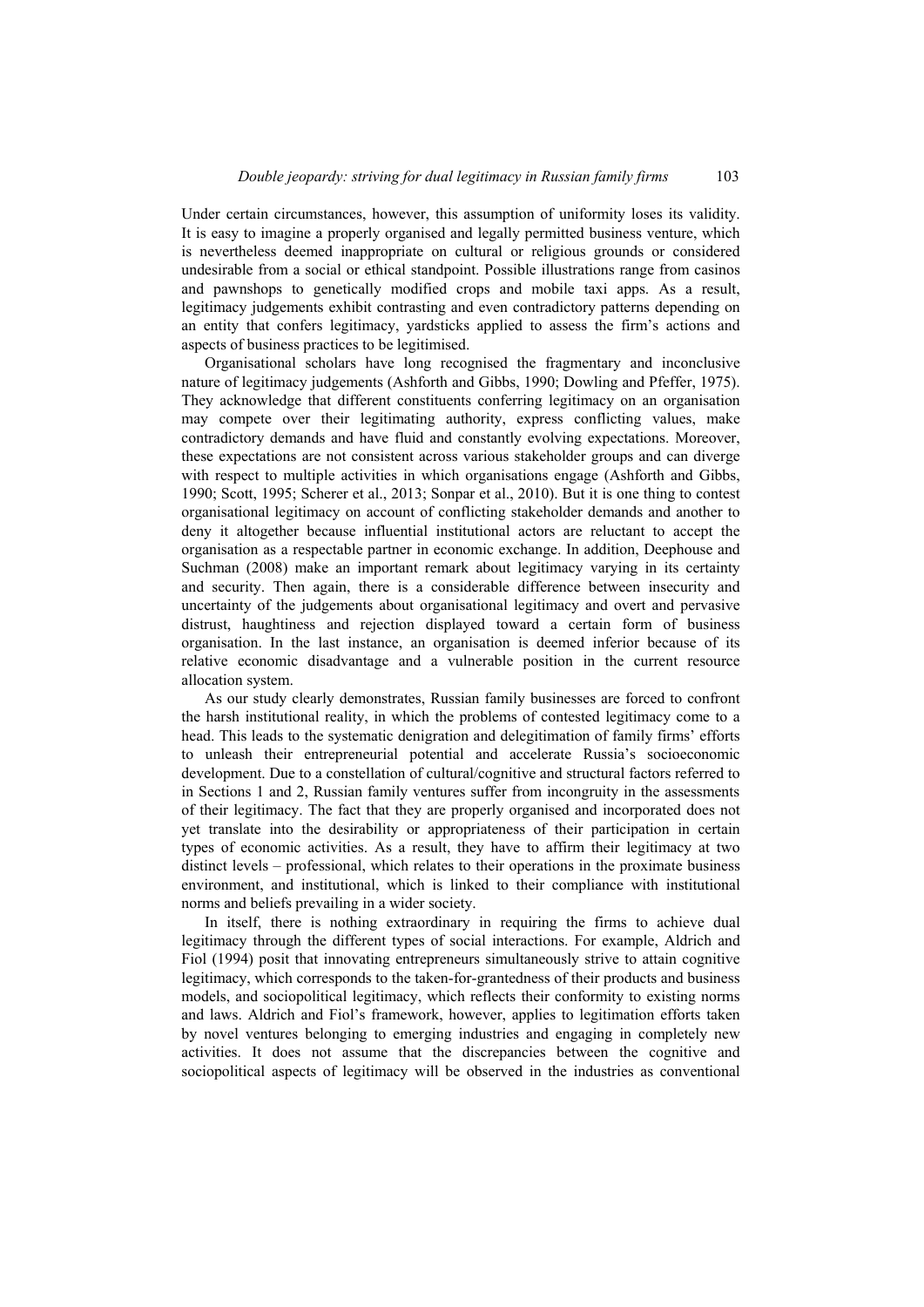Under certain circumstances, however, this assumption of uniformity loses its validity. It is easy to imagine a properly organised and legally permitted business venture, which is nevertheless deemed inappropriate on cultural or religious grounds or considered undesirable from a social or ethical standpoint. Possible illustrations range from casinos and pawnshops to genetically modified crops and mobile taxi apps. As a result, legitimacy judgements exhibit contrasting and even contradictory patterns depending on an entity that confers legitimacy, yardsticks applied to assess the firm's actions and aspects of business practices to be legitimised.

Organisational scholars have long recognised the fragmentary and inconclusive nature of legitimacy judgements (Ashforth and Gibbs, 1990; Dowling and Pfeffer, 1975). They acknowledge that different constituents conferring legitimacy on an organisation may compete over their legitimating authority, express conflicting values, make contradictory demands and have fluid and constantly evolving expectations. Moreover, these expectations are not consistent across various stakeholder groups and can diverge with respect to multiple activities in which organisations engage (Ashforth and Gibbs, 1990; Scott, 1995; Scherer et al., 2013; Sonpar et al., 2010). But it is one thing to contest organisational legitimacy on account of conflicting stakeholder demands and another to deny it altogether because influential institutional actors are reluctant to accept the organisation as a respectable partner in economic exchange. In addition, Deephouse and Suchman (2008) make an important remark about legitimacy varying in its certainty and security. Then again, there is a considerable difference between insecurity and uncertainty of the judgements about organisational legitimacy and overt and pervasive distrust, haughtiness and rejection displayed toward a certain form of business organisation. In the last instance, an organisation is deemed inferior because of its relative economic disadvantage and a vulnerable position in the current resource allocation system.

As our study clearly demonstrates, Russian family businesses are forced to confront the harsh institutional reality, in which the problems of contested legitimacy come to a head. This leads to the systematic denigration and delegitimation of family firms' efforts to unleash their entrepreneurial potential and accelerate Russia's socioeconomic development. Due to a constellation of cultural/cognitive and structural factors referred to in Sections 1 and 2, Russian family ventures suffer from incongruity in the assessments of their legitimacy. The fact that they are properly organised and incorporated does not yet translate into the desirability or appropriateness of their participation in certain types of economic activities. As a result, they have to affirm their legitimacy at two distinct levels – professional, which relates to their operations in the proximate business environment, and institutional, which is linked to their compliance with institutional norms and beliefs prevailing in a wider society.

In itself, there is nothing extraordinary in requiring the firms to achieve dual legitimacy through the different types of social interactions. For example, Aldrich and Fiol (1994) posit that innovating entrepreneurs simultaneously strive to attain cognitive legitimacy, which corresponds to the taken-for-grantedness of their products and business models, and sociopolitical legitimacy, which reflects their conformity to existing norms and laws. Aldrich and Fiol's framework, however, applies to legitimation efforts taken by novel ventures belonging to emerging industries and engaging in completely new activities. It does not assume that the discrepancies between the cognitive and sociopolitical aspects of legitimacy will be observed in the industries as conventional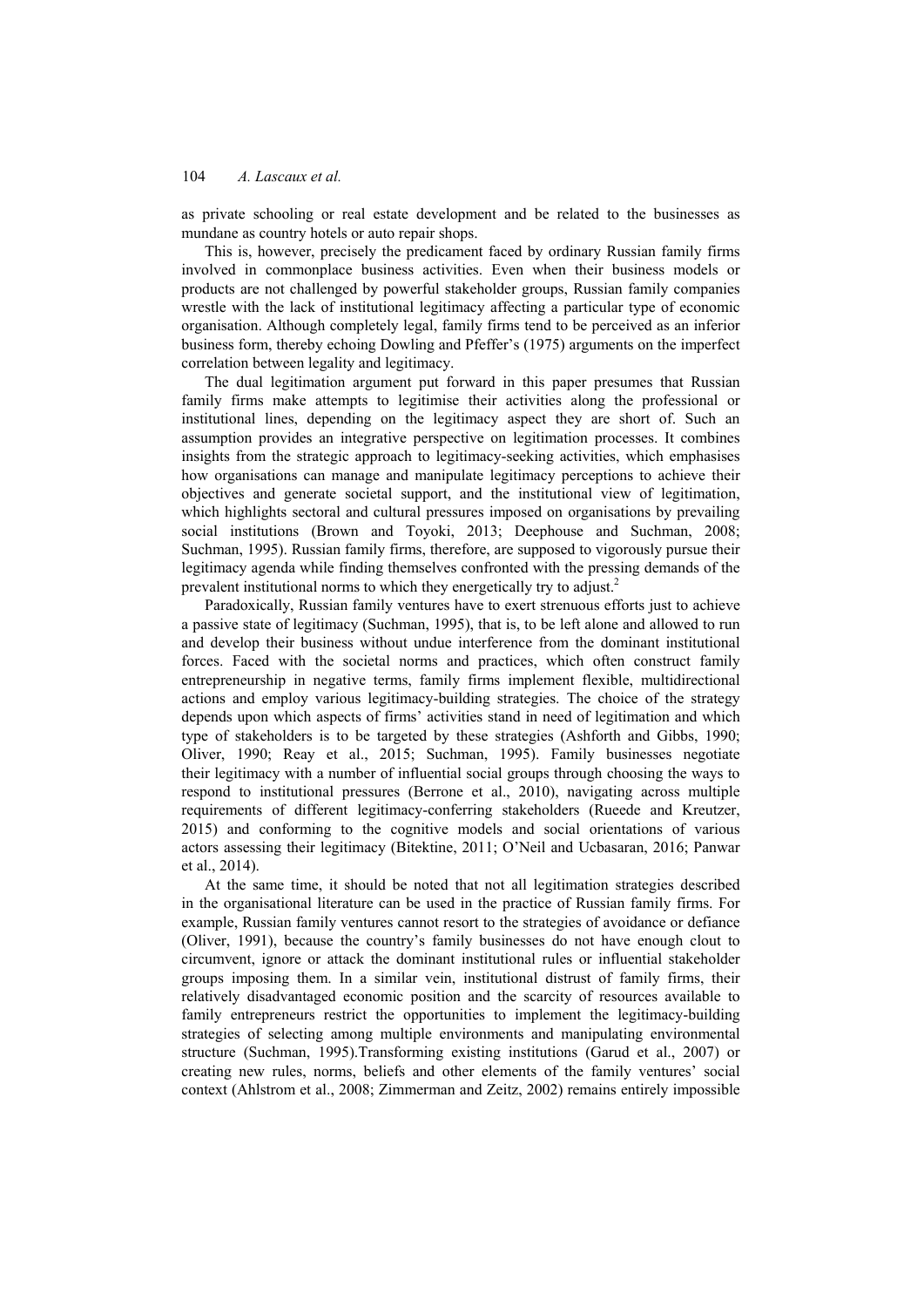as private schooling or real estate development and be related to the businesses as mundane as country hotels or auto repair shops.

This is, however, precisely the predicament faced by ordinary Russian family firms involved in commonplace business activities. Even when their business models or products are not challenged by powerful stakeholder groups, Russian family companies wrestle with the lack of institutional legitimacy affecting a particular type of economic organisation. Although completely legal, family firms tend to be perceived as an inferior business form, thereby echoing Dowling and Pfeffer's (1975) arguments on the imperfect correlation between legality and legitimacy.

The dual legitimation argument put forward in this paper presumes that Russian family firms make attempts to legitimise their activities along the professional or institutional lines, depending on the legitimacy aspect they are short of. Such an assumption provides an integrative perspective on legitimation processes. It combines insights from the strategic approach to legitimacy-seeking activities, which emphasises how organisations can manage and manipulate legitimacy perceptions to achieve their objectives and generate societal support, and the institutional view of legitimation, which highlights sectoral and cultural pressures imposed on organisations by prevailing social institutions (Brown and Toyoki, 2013; Deephouse and Suchman, 2008; Suchman, 1995). Russian family firms, therefore, are supposed to vigorously pursue their legitimacy agenda while finding themselves confronted with the pressing demands of the prevalent institutional norms to which they energetically try to adjust.2

Paradoxically, Russian family ventures have to exert strenuous efforts just to achieve a passive state of legitimacy (Suchman, 1995), that is, to be left alone and allowed to run and develop their business without undue interference from the dominant institutional forces. Faced with the societal norms and practices, which often construct family entrepreneurship in negative terms, family firms implement flexible, multidirectional actions and employ various legitimacy-building strategies. The choice of the strategy depends upon which aspects of firms' activities stand in need of legitimation and which type of stakeholders is to be targeted by these strategies (Ashforth and Gibbs, 1990; Oliver, 1990; Reay et al., 2015; Suchman, 1995). Family businesses negotiate their legitimacy with a number of influential social groups through choosing the ways to respond to institutional pressures (Berrone et al., 2010), navigating across multiple requirements of different legitimacy-conferring stakeholders (Rueede and Kreutzer, 2015) and conforming to the cognitive models and social orientations of various actors assessing their legitimacy (Bitektine, 2011; O'Neil and Ucbasaran, 2016; Panwar et al., 2014).

At the same time, it should be noted that not all legitimation strategies described in the organisational literature can be used in the practice of Russian family firms. For example, Russian family ventures cannot resort to the strategies of avoidance or defiance (Oliver, 1991), because the country's family businesses do not have enough clout to circumvent, ignore or attack the dominant institutional rules or influential stakeholder groups imposing them. In a similar vein, institutional distrust of family firms, their relatively disadvantaged economic position and the scarcity of resources available to family entrepreneurs restrict the opportunities to implement the legitimacy-building strategies of selecting among multiple environments and manipulating environmental structure (Suchman, 1995).Transforming existing institutions (Garud et al., 2007) or creating new rules, norms, beliefs and other elements of the family ventures' social context (Ahlstrom et al., 2008; Zimmerman and Zeitz, 2002) remains entirely impossible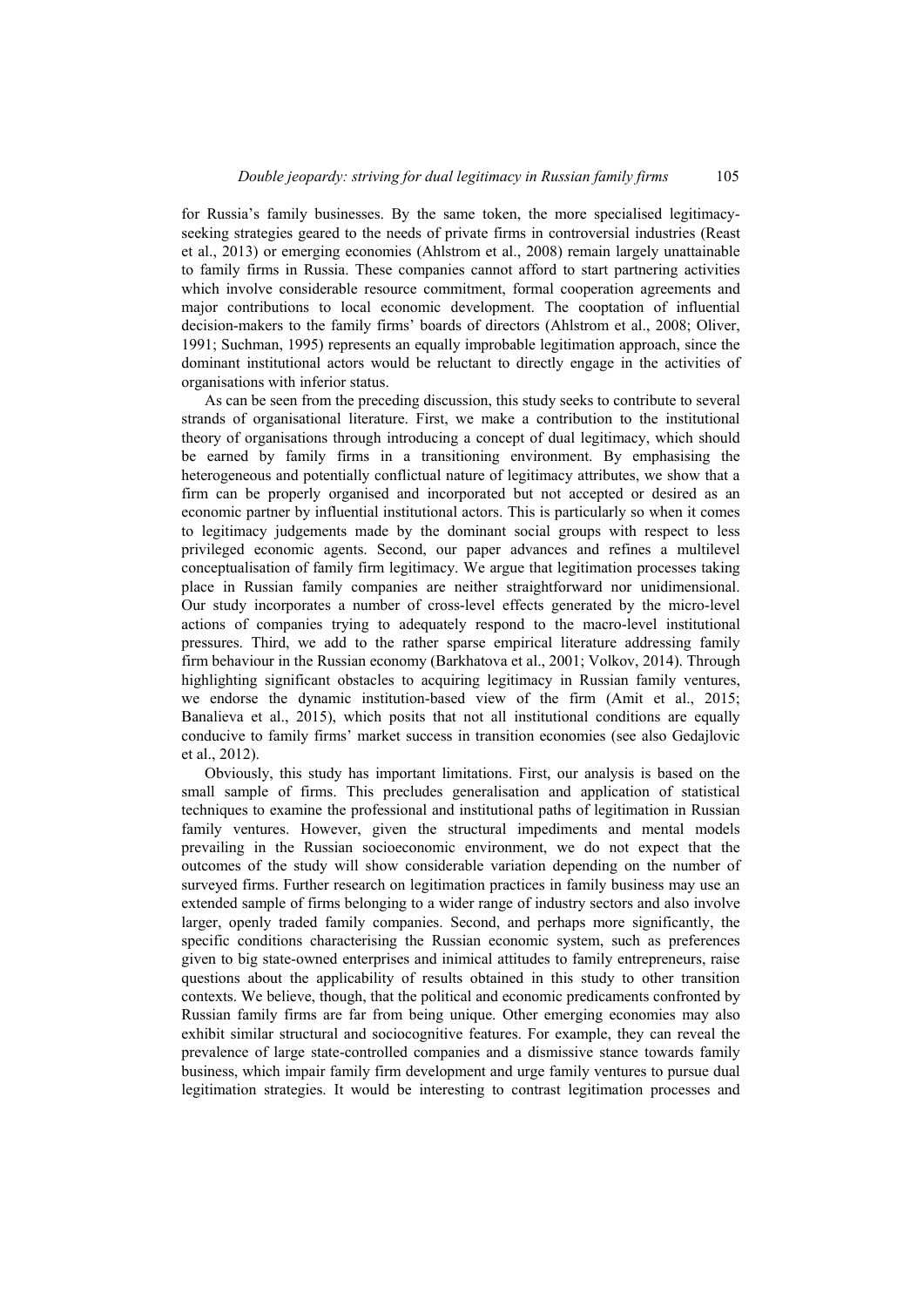for Russia's family businesses. By the same token, the more specialised legitimacyseeking strategies geared to the needs of private firms in controversial industries (Reast et al., 2013) or emerging economies (Ahlstrom et al., 2008) remain largely unattainable to family firms in Russia. These companies cannot afford to start partnering activities which involve considerable resource commitment, formal cooperation agreements and major contributions to local economic development. The cooptation of influential decision-makers to the family firms' boards of directors (Ahlstrom et al., 2008; Oliver, 1991; Suchman, 1995) represents an equally improbable legitimation approach, since the dominant institutional actors would be reluctant to directly engage in the activities of organisations with inferior status.

As can be seen from the preceding discussion, this study seeks to contribute to several strands of organisational literature. First, we make a contribution to the institutional theory of organisations through introducing a concept of dual legitimacy, which should be earned by family firms in a transitioning environment. By emphasising the heterogeneous and potentially conflictual nature of legitimacy attributes, we show that a firm can be properly organised and incorporated but not accepted or desired as an economic partner by influential institutional actors. This is particularly so when it comes to legitimacy judgements made by the dominant social groups with respect to less privileged economic agents. Second, our paper advances and refines a multilevel conceptualisation of family firm legitimacy. We argue that legitimation processes taking place in Russian family companies are neither straightforward nor unidimensional. Our study incorporates a number of cross-level effects generated by the micro-level actions of companies trying to adequately respond to the macro-level institutional pressures. Third, we add to the rather sparse empirical literature addressing family firm behaviour in the Russian economy (Barkhatova et al., 2001; Volkov, 2014). Through highlighting significant obstacles to acquiring legitimacy in Russian family ventures, we endorse the dynamic institution-based view of the firm (Amit et al., 2015; Banalieva et al., 2015), which posits that not all institutional conditions are equally conducive to family firms' market success in transition economies (see also Gedajlovic et al., 2012).

Obviously, this study has important limitations. First, our analysis is based on the small sample of firms. This precludes generalisation and application of statistical techniques to examine the professional and institutional paths of legitimation in Russian family ventures. However, given the structural impediments and mental models prevailing in the Russian socioeconomic environment, we do not expect that the outcomes of the study will show considerable variation depending on the number of surveyed firms. Further research on legitimation practices in family business may use an extended sample of firms belonging to a wider range of industry sectors and also involve larger, openly traded family companies. Second, and perhaps more significantly, the specific conditions characterising the Russian economic system, such as preferences given to big state-owned enterprises and inimical attitudes to family entrepreneurs, raise questions about the applicability of results obtained in this study to other transition contexts. We believe, though, that the political and economic predicaments confronted by Russian family firms are far from being unique. Other emerging economies may also exhibit similar structural and sociocognitive features. For example, they can reveal the prevalence of large state-controlled companies and a dismissive stance towards family business, which impair family firm development and urge family ventures to pursue dual legitimation strategies. It would be interesting to contrast legitimation processes and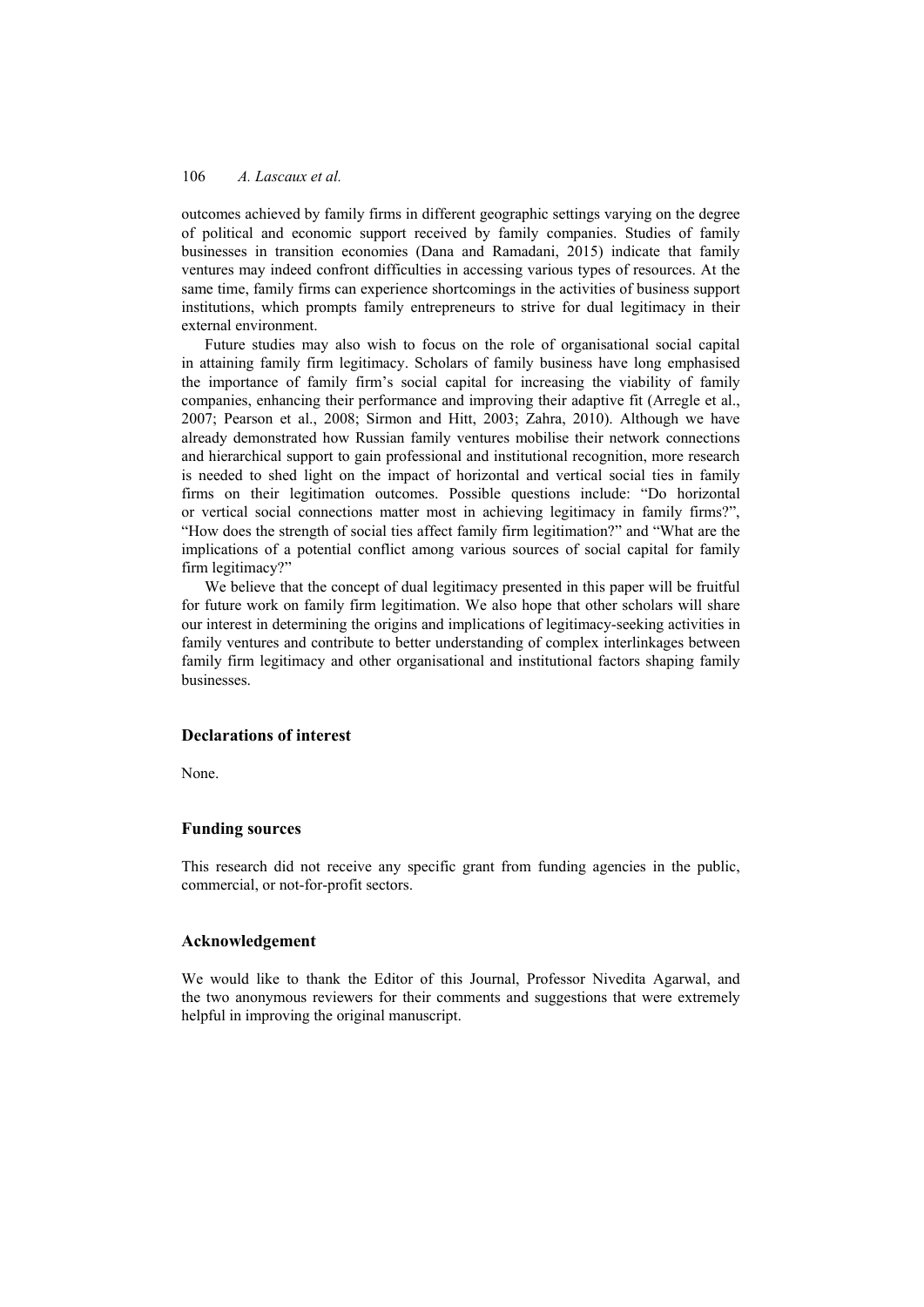outcomes achieved by family firms in different geographic settings varying on the degree of political and economic support received by family companies. Studies of family businesses in transition economies (Dana and Ramadani, 2015) indicate that family ventures may indeed confront difficulties in accessing various types of resources. At the same time, family firms can experience shortcomings in the activities of business support institutions, which prompts family entrepreneurs to strive for dual legitimacy in their external environment.

Future studies may also wish to focus on the role of organisational social capital in attaining family firm legitimacy. Scholars of family business have long emphasised the importance of family firm's social capital for increasing the viability of family companies, enhancing their performance and improving their adaptive fit (Arregle et al., 2007; Pearson et al., 2008; Sirmon and Hitt, 2003; Zahra, 2010). Although we have already demonstrated how Russian family ventures mobilise their network connections and hierarchical support to gain professional and institutional recognition, more research is needed to shed light on the impact of horizontal and vertical social ties in family firms on their legitimation outcomes. Possible questions include: "Do horizontal or vertical social connections matter most in achieving legitimacy in family firms?", "How does the strength of social ties affect family firm legitimation?" and "What are the implications of a potential conflict among various sources of social capital for family firm legitimacy?"

We believe that the concept of dual legitimacy presented in this paper will be fruitful for future work on family firm legitimation. We also hope that other scholars will share our interest in determining the origins and implications of legitimacy-seeking activities in family ventures and contribute to better understanding of complex interlinkages between family firm legitimacy and other organisational and institutional factors shaping family businesses.

# **Declarations of interest**

None.

# **Funding sources**

This research did not receive any specific grant from funding agencies in the public, commercial, or not-for-profit sectors.

## **Acknowledgement**

We would like to thank the Editor of this Journal, Professor Nivedita Agarwal, and the two anonymous reviewers for their comments and suggestions that were extremely helpful in improving the original manuscript.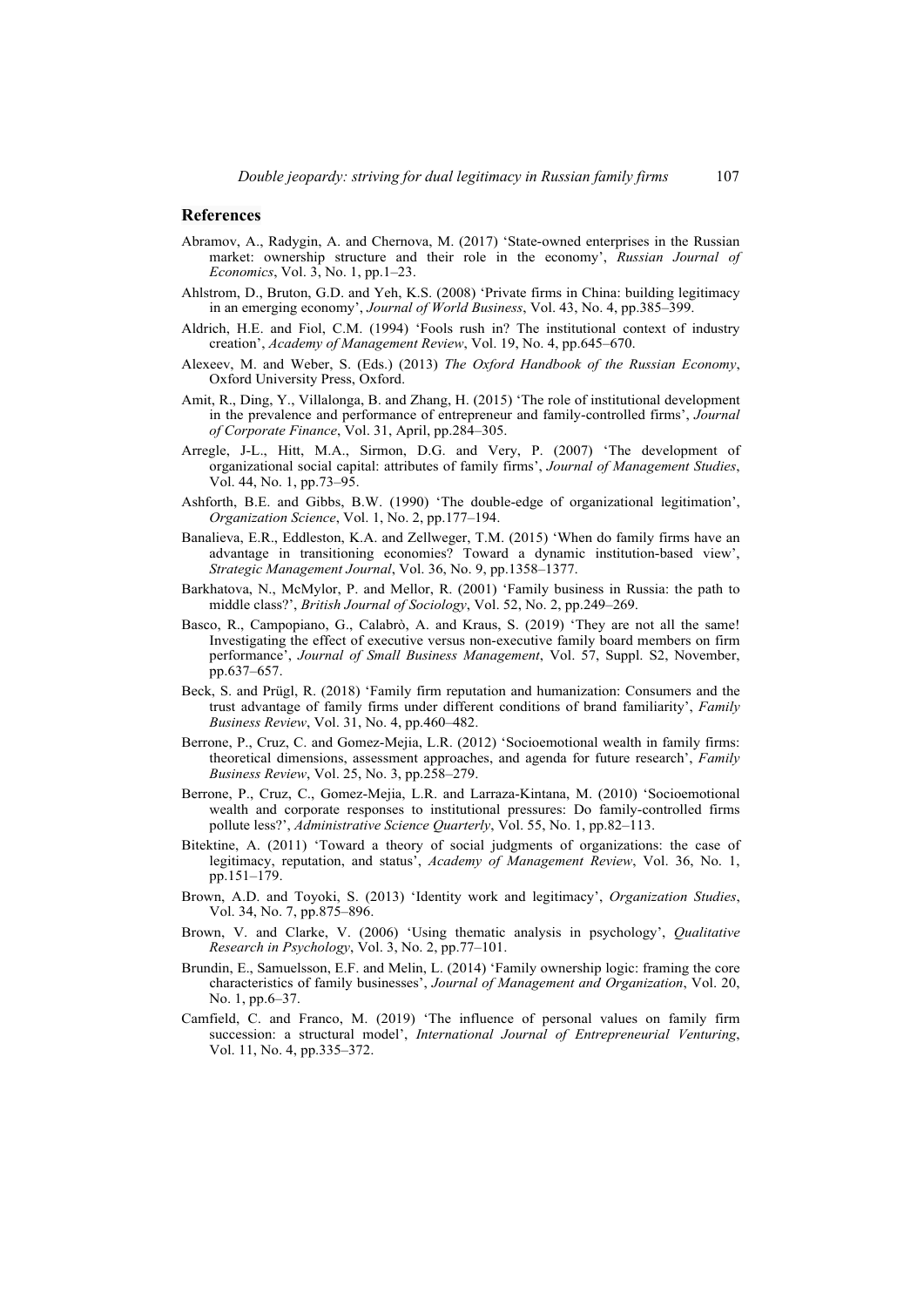### **References**

- Abramov, A., Radygin, A. and Chernova, M. (2017) 'State-owned enterprises in the Russian market: ownership structure and their role in the economy', *Russian Journal of Economics*, Vol. 3, No. 1, pp.1–23.
- Ahlstrom, D., Bruton, G.D. and Yeh, K.S. (2008) 'Private firms in China: building legitimacy in an emerging economy', *Journal of World Business*, Vol. 43, No. 4, pp.385–399.
- Aldrich, H.E. and Fiol, C.M. (1994) 'Fools rush in? The institutional context of industry creation', *Academy of Management Review*, Vol. 19, No. 4, pp.645–670.
- Alexeev, M. and Weber, S. (Eds.) (2013) *The Oxford Handbook of the Russian Economy*, Oxford University Press, Oxford.
- Amit, R., Ding, Y., Villalonga, B. and Zhang, H. (2015) 'The role of institutional development in the prevalence and performance of entrepreneur and family-controlled firms', *Journal of Corporate Finance*, Vol. 31, April, pp.284–305.
- Arregle, J-L., Hitt, M.A., Sirmon, D.G. and Very, P. (2007) 'The development of organizational social capital: attributes of family firms', *Journal of Management Studies*, Vol. 44, No. 1, pp.73–95.
- Ashforth, B.E. and Gibbs, B.W. (1990) 'The double-edge of organizational legitimation', *Organization Science*, Vol. 1, No. 2, pp.177–194.
- Banalieva, E.R., Eddleston, K.A. and Zellweger, T.M. (2015) 'When do family firms have an advantage in transitioning economies? Toward a dynamic institution-based view', *Strategic Management Journal*, Vol. 36, No. 9, pp.1358–1377.
- Barkhatova, N., McMylor, P. and Mellor, R. (2001) 'Family business in Russia: the path to middle class?', *British Journal of Sociology*, Vol. 52, No. 2, pp.249–269.
- Basco, R., Campopiano, G., Calabrò, A. and Kraus, S. (2019) 'They are not all the same! Investigating the effect of executive versus non-executive family board members on firm performance', *Journal of Small Business Management*, Vol. 57, Suppl. S2, November, pp.637–657.
- Beck, S. and Prügl, R. (2018) 'Family firm reputation and humanization: Consumers and the trust advantage of family firms under different conditions of brand familiarity', *Family Business Review*, Vol. 31, No. 4, pp.460–482.
- Berrone, P., Cruz, C. and Gomez-Mejia, L.R. (2012) 'Socioemotional wealth in family firms: theoretical dimensions, assessment approaches, and agenda for future research', *Family Business Review*, Vol. 25, No. 3, pp.258–279.
- Berrone, P., Cruz, C., Gomez-Mejia, L.R. and Larraza-Kintana, M. (2010) 'Socioemotional wealth and corporate responses to institutional pressures: Do family-controlled firms pollute less?', *Administrative Science Quarterly*, Vol. 55, No. 1, pp.82–113.
- Bitektine, A. (2011) 'Toward a theory of social judgments of organizations: the case of legitimacy, reputation, and status', *Academy of Management Review*, Vol. 36, No. 1, pp.151–179.
- Brown, A.D. and Toyoki, S. (2013) 'Identity work and legitimacy', *Organization Studies*, Vol. 34, No. 7, pp.875–896.
- Brown, V. and Clarke, V. (2006) 'Using thematic analysis in psychology', *Qualitative Research in Psychology*, Vol. 3, No. 2, pp.77–101.
- Brundin, E., Samuelsson, E.F. and Melin, L. (2014) 'Family ownership logic: framing the core characteristics of family businesses', *Journal of Management and Organization*, Vol. 20, No. 1, pp.6–37.
- Camfield, C. and Franco, M. (2019) 'The influence of personal values on family firm succession: a structural model', *International Journal of Entrepreneurial Venturing*, Vol. 11, No. 4, pp.335–372.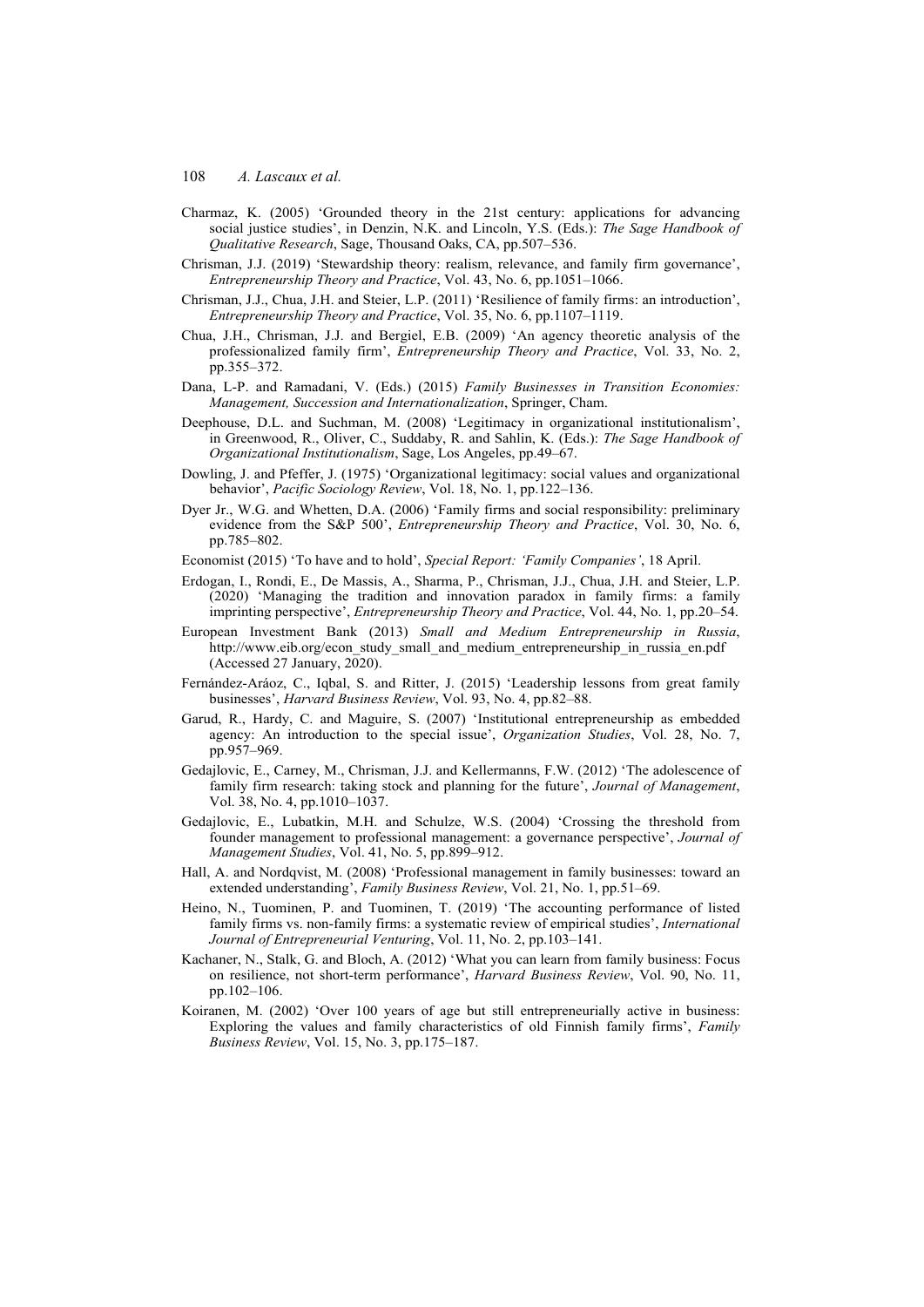- Charmaz, K. (2005) 'Grounded theory in the 21st century: applications for advancing social justice studies', in Denzin, N.K. and Lincoln, Y.S. (Eds.): *The Sage Handbook of Qualitative Research*, Sage, Thousand Oaks, CA, pp.507–536.
- Chrisman, J.J. (2019) 'Stewardship theory: realism, relevance, and family firm governance', *Entrepreneurship Theory and Practice*, Vol. 43, No. 6, pp.1051–1066.
- Chrisman, J.J., Chua, J.H. and Steier, L.P. (2011) 'Resilience of family firms: an introduction', *Entrepreneurship Theory and Practice*, Vol. 35, No. 6, pp.1107–1119.
- Chua, J.H., Chrisman, J.J. and Bergiel, E.B. (2009) 'An agency theoretic analysis of the professionalized family firm', *Entrepreneurship Theory and Practice*, Vol. 33, No. 2, pp.355–372.
- Dana, L-P. and Ramadani, V. (Eds.) (2015) *Family Businesses in Transition Economies: Management, Succession and Internationalization*, Springer, Cham.
- Deephouse, D.L. and Suchman, M. (2008) 'Legitimacy in organizational institutionalism', in Greenwood, R., Oliver, C., Suddaby, R. and Sahlin, K. (Eds.): *The Sage Handbook of Organizational Institutionalism*, Sage, Los Angeles, pp.49–67.
- Dowling, J. and Pfeffer, J. (1975) 'Organizational legitimacy: social values and organizational behavior', *Pacific Sociology Review*, Vol. 18, No. 1, pp.122–136.
- Dyer Jr., W.G. and Whetten, D.A. (2006) 'Family firms and social responsibility: preliminary evidence from the S&P 500', *Entrepreneurship Theory and Practice*, Vol. 30, No. 6, pp.785–802.
- Economist (2015) 'To have and to hold', *Special Report: 'Family Companies'*, 18 April.
- Erdogan, I., Rondi, E., De Massis, A., Sharma, P., Chrisman, J.J., Chua, J.H. and Steier, L.P. (2020) 'Managing the tradition and innovation paradox in family firms: a family imprinting perspective', *Entrepreneurship Theory and Practice*, Vol. 44, No. 1, pp.20–54.
- European Investment Bank (2013) *Small and Medium Entrepreneurship in Russia*, http://www.eib.org/econ\_study\_small\_and\_medium\_entrepreneurship\_in\_russia\_en.pdf (Accessed 27 January, 2020).
- Fernández-Aráoz, C., Iqbal, S. and Ritter, J. (2015) 'Leadership lessons from great family businesses', *Harvard Business Review*, Vol. 93, No. 4, pp.82–88.
- Garud, R., Hardy, C. and Maguire, S. (2007) 'Institutional entrepreneurship as embedded agency: An introduction to the special issue', *Organization Studies*, Vol. 28, No. 7, pp.957–969.
- Gedajlovic, E., Carney, M., Chrisman, J.J. and Kellermanns, F.W. (2012) 'The adolescence of family firm research: taking stock and planning for the future', *Journal of Management*, Vol. 38, No. 4, pp.1010–1037.
- Gedajlovic, E., Lubatkin, M.H. and Schulze, W.S. (2004) 'Crossing the threshold from founder management to professional management: a governance perspective', *Journal of Management Studies*, Vol. 41, No. 5, pp.899–912.
- Hall, A. and Nordqvist, M. (2008) 'Professional management in family businesses: toward an extended understanding', *Family Business Review*, Vol. 21, No. 1, pp.51–69.
- Heino, N., Tuominen, P. and Tuominen, T. (2019) 'The accounting performance of listed family firms vs. non-family firms: a systematic review of empirical studies', *International Journal of Entrepreneurial Venturing*, Vol. 11, No. 2, pp.103–141.
- Kachaner, N., Stalk, G. and Bloch, A. (2012) 'What you can learn from family business: Focus on resilience, not short-term performance', *Harvard Business Review*, Vol. 90, No. 11, pp.102–106.
- Koiranen, M. (2002) 'Over 100 years of age but still entrepreneurially active in business: Exploring the values and family characteristics of old Finnish family firms', *Family Business Review*, Vol. 15, No. 3, pp.175–187.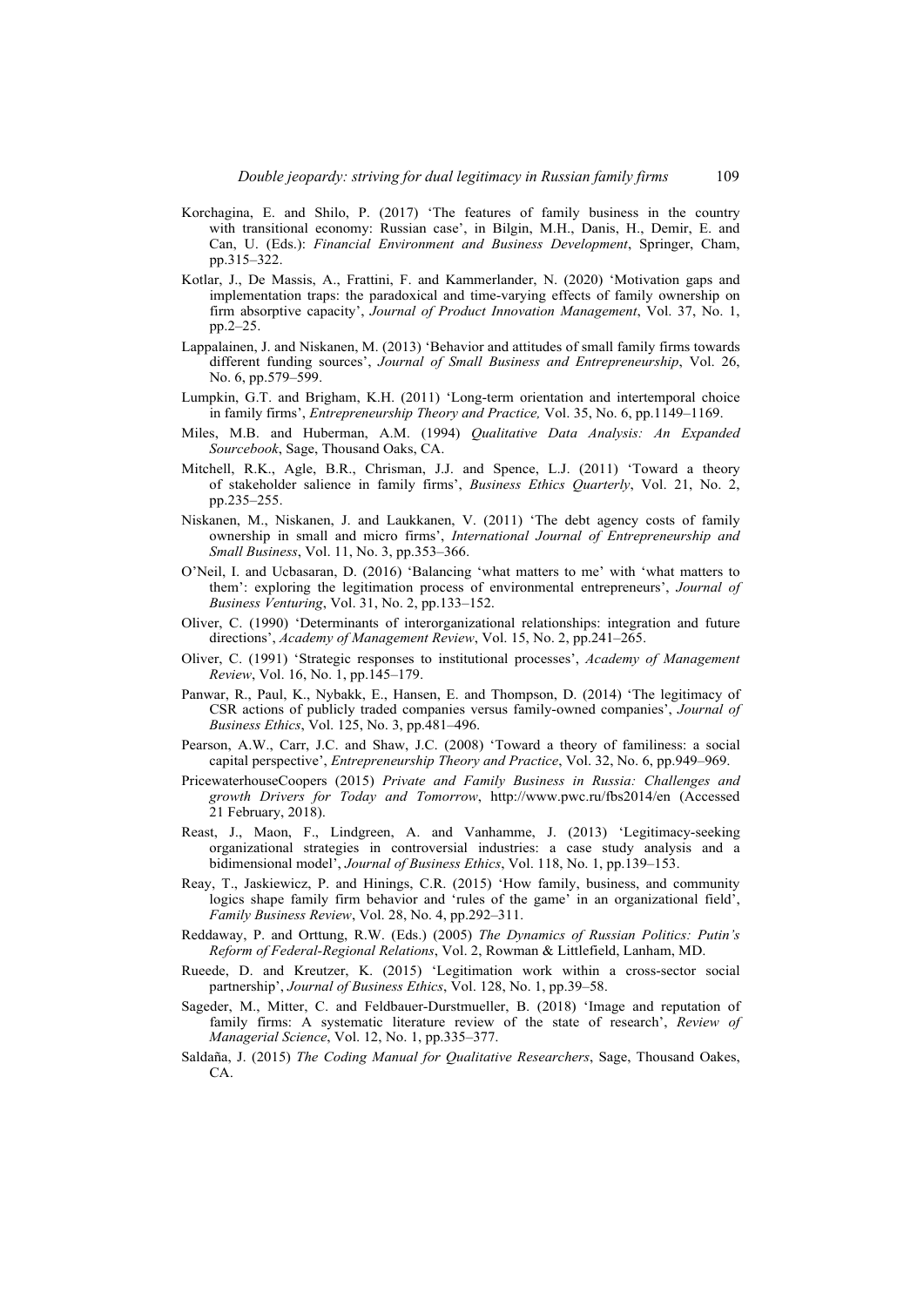- Korchagina, E. and Shilo, P. (2017) 'The features of family business in the country with transitional economy: Russian case', in Bilgin, M.H., Danis, H., Demir, E. and Can, U. (Eds.): *Financial Environment and Business Development*, Springer, Cham, pp.315–322.
- Kotlar, J., De Massis, A., Frattini, F. and Kammerlander, N. (2020) 'Motivation gaps and implementation traps: the paradoxical and time-varying effects of family ownership on firm absorptive capacity', *Journal of Product Innovation Management*, Vol. 37, No. 1, pp.2–25.
- Lappalainen, J. and Niskanen, M. (2013) 'Behavior and attitudes of small family firms towards different funding sources', *Journal of Small Business and Entrepreneurship*, Vol. 26, No. 6, pp.579–599.
- Lumpkin, G.T. and Brigham, K.H. (2011) 'Long-term orientation and intertemporal choice in family firms', *Entrepreneurship Theory and Practice,* Vol. 35, No. 6, pp.1149–1169.
- Miles, M.B. and Huberman, A.M. (1994) *Qualitative Data Analysis: An Expanded Sourcebook*, Sage, Thousand Oaks, CA.
- Mitchell, R.K., Agle, B.R., Chrisman, J.J. and Spence, L.J. (2011) 'Toward a theory of stakeholder salience in family firms', *Business Ethics Quarterly*, Vol. 21, No. 2, pp.235–255.
- Niskanen, M., Niskanen, J. and Laukkanen, V. (2011) 'The debt agency costs of family ownership in small and micro firms', *International Journal of Entrepreneurship and Small Business*, Vol. 11, No. 3, pp.353–366.
- O'Neil, I. and Ucbasaran, D. (2016) 'Balancing 'what matters to me' with 'what matters to them': exploring the legitimation process of environmental entrepreneurs', *Journal of Business Venturing*, Vol. 31, No. 2, pp.133–152.
- Oliver, C. (1990) 'Determinants of interorganizational relationships: integration and future directions', *Academy of Management Review*, Vol. 15, No. 2, pp.241–265.
- Oliver, C. (1991) 'Strategic responses to institutional processes', *Academy of Management Review*, Vol. 16, No. 1, pp.145–179.
- Panwar, R., Paul, K., Nybakk, E., Hansen, E. and Thompson, D. (2014) 'The legitimacy of CSR actions of publicly traded companies versus family-owned companies', *Journal of Business Ethics*, Vol. 125, No. 3, pp.481–496.
- Pearson, A.W., Carr, J.C. and Shaw, J.C. (2008) 'Toward a theory of familiness: a social capital perspective', *Entrepreneurship Theory and Practice*, Vol. 32, No. 6, pp.949–969.
- PricewaterhouseCoopers (2015) *Private and Family Business in Russia: Challenges and growth Drivers for Today and Tomorrow*, http://www.pwc.ru/fbs2014/en (Accessed 21 February, 2018).
- Reast, J., Maon, F., Lindgreen, A. and Vanhamme, J. (2013) 'Legitimacy-seeking organizational strategies in controversial industries: a case study analysis and a bidimensional model', *Journal of Business Ethics*, Vol. 118, No. 1, pp.139–153.
- Reay, T., Jaskiewicz, P. and Hinings, C.R. (2015) 'How family, business, and community logics shape family firm behavior and 'rules of the game' in an organizational field', *Family Business Review*, Vol. 28, No. 4, pp.292–311.
- Reddaway, P. and Orttung, R.W. (Eds.) (2005) *The Dynamics of Russian Politics: Putin's Reform of Federal-Regional Relations*, Vol. 2, Rowman & Littlefield, Lanham, MD.
- Rueede, D. and Kreutzer, K. (2015) 'Legitimation work within a cross-sector social partnership', *Journal of Business Ethics*, Vol. 128, No. 1, pp.39–58.
- Sageder, M., Mitter, C. and Feldbauer-Durstmueller, B. (2018) 'Image and reputation of family firms: A systematic literature review of the state of research', *Review of Managerial Science*, Vol. 12, No. 1, pp.335–377.
- Saldaña, J. (2015) *The Coding Manual for Qualitative Researchers*, Sage, Thousand Oakes, CA.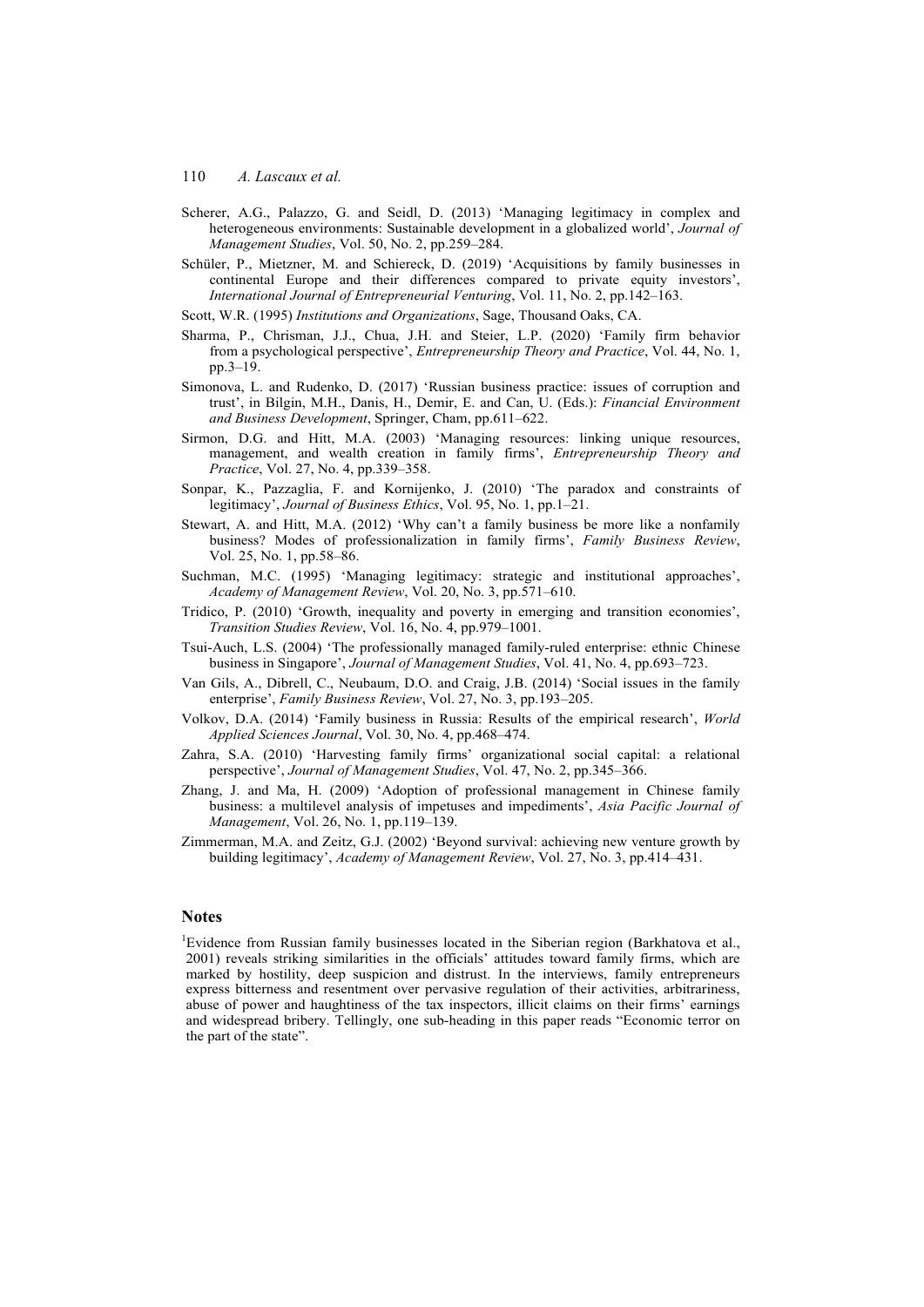- Scherer, A.G., Palazzo, G. and Seidl, D. (2013) 'Managing legitimacy in complex and heterogeneous environments: Sustainable development in a globalized world', *Journal of Management Studies*, Vol. 50, No. 2, pp.259–284.
- Schüler, P., Mietzner, M. and Schiereck, D. (2019) 'Acquisitions by family businesses in continental Europe and their differences compared to private equity investors', *International Journal of Entrepreneurial Venturing*, Vol. 11, No. 2, pp.142–163.
- Scott, W.R. (1995) *Institutions and Organizations*, Sage, Thousand Oaks, CA.
- Sharma, P., Chrisman, J.J., Chua, J.H. and Steier, L.P. (2020) 'Family firm behavior from a psychological perspective', *Entrepreneurship Theory and Practice*, Vol. 44, No. 1, pp.3–19.
- Simonova, L. and Rudenko, D. (2017) 'Russian business practice: issues of corruption and trust', in Bilgin, M.H., Danis, H., Demir, E. and Can, U. (Eds.): *Financial Environment and Business Development*, Springer, Cham, pp.611–622.
- Sirmon, D.G. and Hitt, M.A. (2003) 'Managing resources: linking unique resources, management, and wealth creation in family firms', *Entrepreneurship Theory and Practice*, Vol. 27, No. 4, pp.339–358.
- Sonpar, K., Pazzaglia, F. and Kornijenko, J. (2010) 'The paradox and constraints of legitimacy', *Journal of Business Ethics*, Vol. 95, No. 1, pp.1–21.
- Stewart, A. and Hitt, M.A. (2012) 'Why can't a family business be more like a nonfamily business? Modes of professionalization in family firms', *Family Business Review*, Vol. 25, No. 1, pp.58–86.
- Suchman, M.C. (1995) 'Managing legitimacy: strategic and institutional approaches', *Academy of Management Review*, Vol. 20, No. 3, pp.571–610.
- Tridico, P. (2010) 'Growth, inequality and poverty in emerging and transition economies', *Transition Studies Review*, Vol. 16, No. 4, pp.979–1001.
- Tsui-Auch, L.S. (2004) 'The professionally managed family-ruled enterprise: ethnic Chinese business in Singapore', *Journal of Management Studies*, Vol. 41, No. 4, pp.693–723.
- Van Gils, A., Dibrell, C., Neubaum, D.O. and Craig, J.B. (2014) 'Social issues in the family enterprise', *Family Business Review*, Vol. 27, No. 3, pp.193–205.
- Volkov, D.A. (2014) 'Family business in Russia: Results of the empirical research', *World Applied Sciences Journal*, Vol. 30, No. 4, pp.468–474.
- Zahra, S.A. (2010) 'Harvesting family firms' organizational social capital: a relational perspective', *Journal of Management Studies*, Vol. 47, No. 2, pp.345–366.
- Zhang, J. and Ma, H. (2009) 'Adoption of professional management in Chinese family business: a multilevel analysis of impetuses and impediments', *Asia Pacific Journal of Management*, Vol. 26, No. 1, pp.119–139.
- Zimmerman, M.A. and Zeitz, G.J. (2002) 'Beyond survival: achieving new venture growth by building legitimacy', *Academy of Management Review*, Vol. 27, No. 3, pp.414–431.

#### **Notes**

<sup>1</sup>Evidence from Russian family businesses located in the Siberian region (Barkhatova et al., 2001) reveals striking similarities in the officials' attitudes toward family firms, which are marked by hostility, deep suspicion and distrust. In the interviews, family entrepreneurs express bitterness and resentment over pervasive regulation of their activities, arbitrariness, abuse of power and haughtiness of the tax inspectors, illicit claims on their firms' earnings and widespread bribery. Tellingly, one sub-heading in this paper reads "Economic terror on the part of the state".